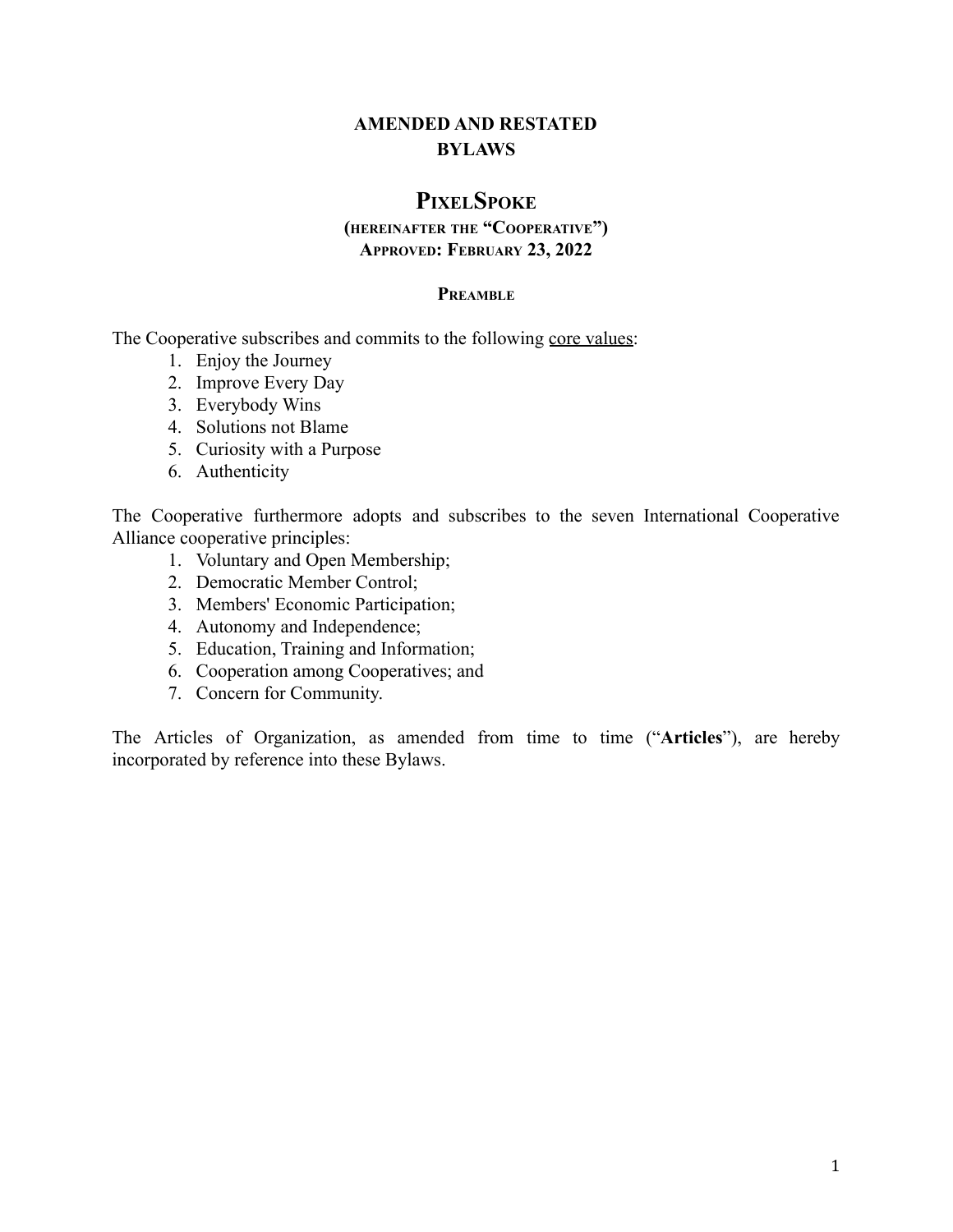# **AMENDED AND RESTATED BYLAWS**

# **PIXELSPOKE**

## **(HEREINAFTER THE "COOPERATIVE") APPROVED: FEBRUARY 23, 2022**

#### **PREAMBLE**

The Cooperative subscribes and commits to the following core values:

- 1. Enjoy the Journey
- 2. Improve Every Day
- 3. Everybody Wins
- 4. Solutions not Blame
- 5. Curiosity with a Purpose
- 6. Authenticity

The Cooperative furthermore adopts and subscribes to the seven International Cooperative Alliance cooperative principles:

- 1. Voluntary and Open Membership;
- 2. Democratic Member Control;
- 3. Members' Economic Participation;
- 4. Autonomy and Independence;
- 5. Education, Training and Information;
- 6. Cooperation among Cooperatives; and
- 7. Concern for Community.

The Articles of Organization, as amended from time to time ("**Articles**"), are hereby incorporated by reference into these Bylaws.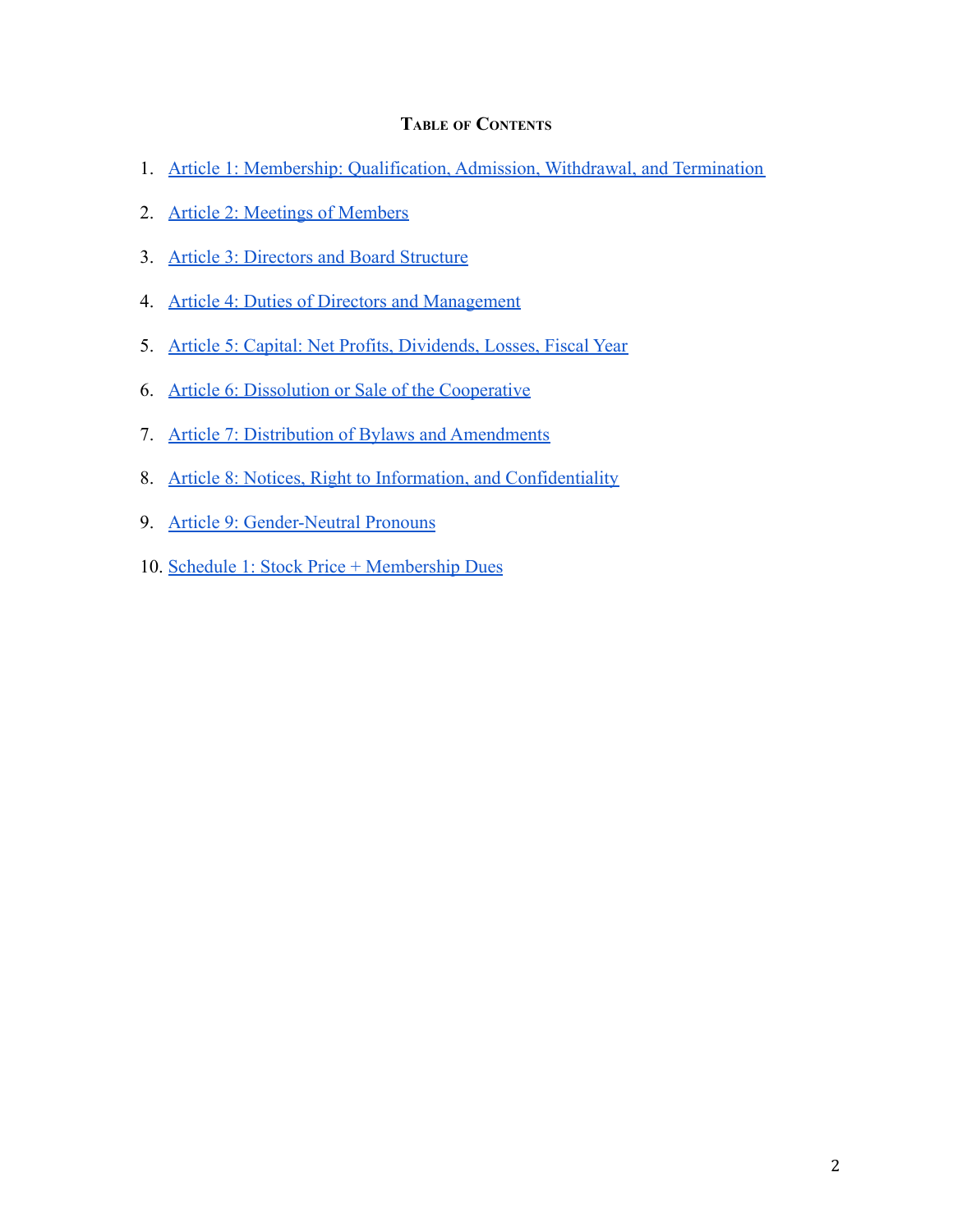## **TABLE OF CONTENTS**

- 1. [Article 1: Membership: Qualification, Admission, Withdrawal, and Termination](#page-2-0)
- 2. [Article 2: Meetings of Members](#page-7-0)
- 3. [Article 3: Directors and Board Structure](#page-10-0)
- 4. [Article 4: Duties of Directors and Management](#page-14-0)
- 5. [Article 5: Capital: Net Profits, Dividends, Losses, Fiscal Year](#page-16-0)
- 6. [Article 6: Dissolution or Sale of the Cooperative](#page-23-0)
- 7. [Article 7: Distribution of Bylaws and Amendments](#page-24-0)
- 8. [Article 8: Notices, Right to Information, and Confidentiality](#page-25-0)
- 9. [Article 9: Gender-Neutral Pronouns](#page-26-0)
- 10. [Schedule 1: Stock Price + Membership Dues](#page-27-0)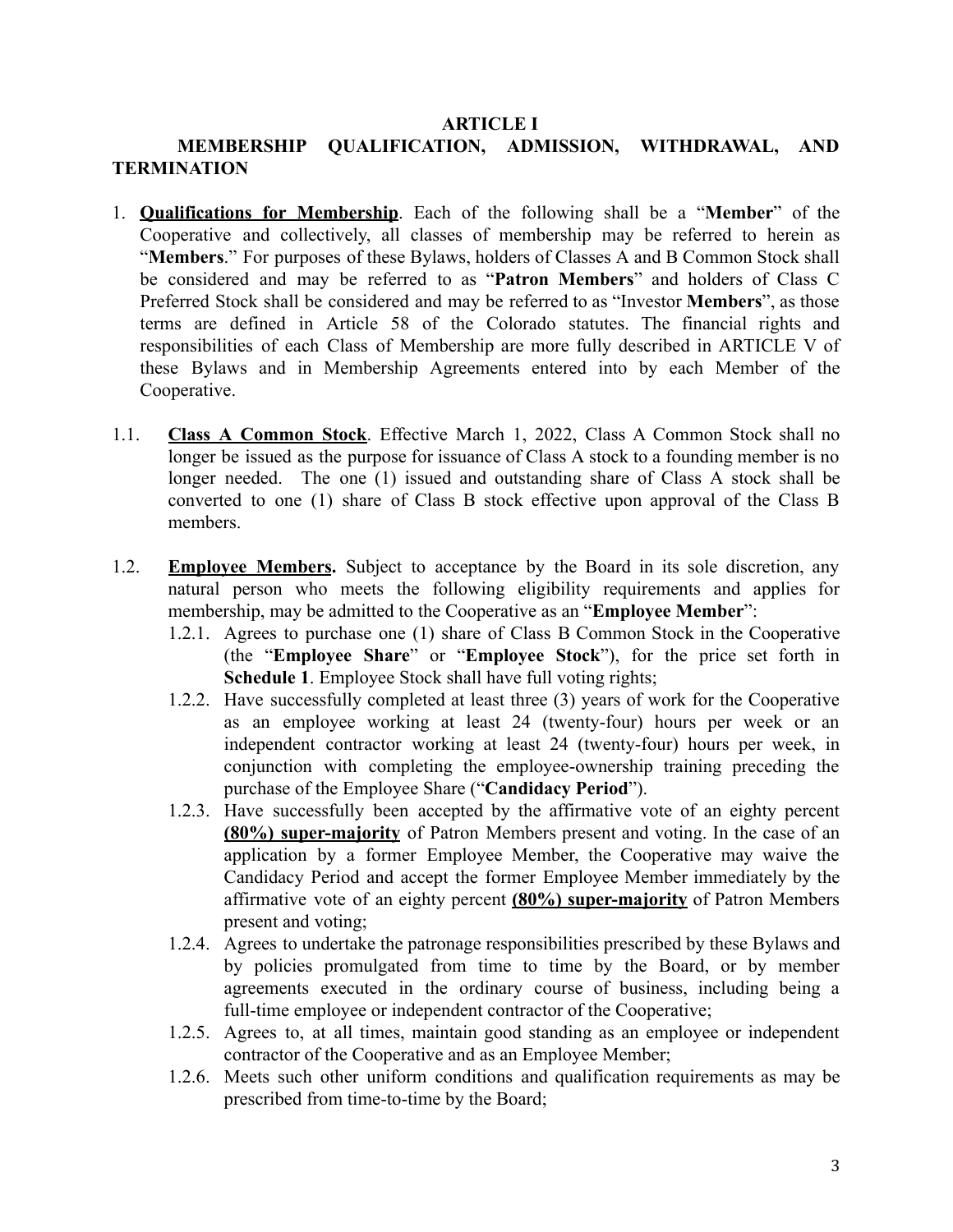#### **ARTICLE I**

# <span id="page-2-0"></span>**MEMBERSHIP QUALIFICATION, ADMISSION, WITHDRAWAL, AND TERMINATION**

- 1. **Qualifications for Membership**. Each of the following shall be a "**Member**" of the Cooperative and collectively, all classes of membership may be referred to herein as "**Members**." For purposes of these Bylaws, holders of Classes A and B Common Stock shall be considered and may be referred to as "**Patron Members**" and holders of Class C Preferred Stock shall be considered and may be referred to as "Investor **Members**", as those terms are defined in Article 58 of the Colorado statutes. The financial rights and responsibilities of each Class of Membership are more fully described in ARTICLE V of these Bylaws and in Membership Agreements entered into by each Member of the Cooperative.
- 1.1. **Class A Common Stock**. Effective March 1, 2022, Class A Common Stock shall no longer be issued as the purpose for issuance of Class A stock to a founding member is no longer needed. The one (1) issued and outstanding share of Class A stock shall be converted to one (1) share of Class B stock effective upon approval of the Class B members.
- 1.2. **Employee Members.** Subject to acceptance by the Board in its sole discretion, any natural person who meets the following eligibility requirements and applies for membership, may be admitted to the Cooperative as an "**Employee Member**":
	- 1.2.1. Agrees to purchase one (1) share of Class B Common Stock in the Cooperative (the "**Employee Share**" or "**Employee Stock**"), for the price set forth in **Schedule 1**. Employee Stock shall have full voting rights;
	- 1.2.2. Have successfully completed at least three (3) years of work for the Cooperative as an employee working at least 24 (twenty-four) hours per week or an independent contractor working at least 24 (twenty-four) hours per week, in conjunction with completing the employee-ownership training preceding the purchase of the Employee Share ("**Candidacy Period**").
	- 1.2.3. Have successfully been accepted by the affirmative vote of an eighty percent **(80%) super-majority** of Patron Members present and voting. In the case of an application by a former Employee Member, the Cooperative may waive the Candidacy Period and accept the former Employee Member immediately by the affirmative vote of an eighty percent **(80%) super-majority** of Patron Members present and voting;
	- 1.2.4. Agrees to undertake the patronage responsibilities prescribed by these Bylaws and by policies promulgated from time to time by the Board, or by member agreements executed in the ordinary course of business, including being a full-time employee or independent contractor of the Cooperative;
	- 1.2.5. Agrees to, at all times, maintain good standing as an employee or independent contractor of the Cooperative and as an Employee Member;
	- 1.2.6. Meets such other uniform conditions and qualification requirements as may be prescribed from time-to-time by the Board;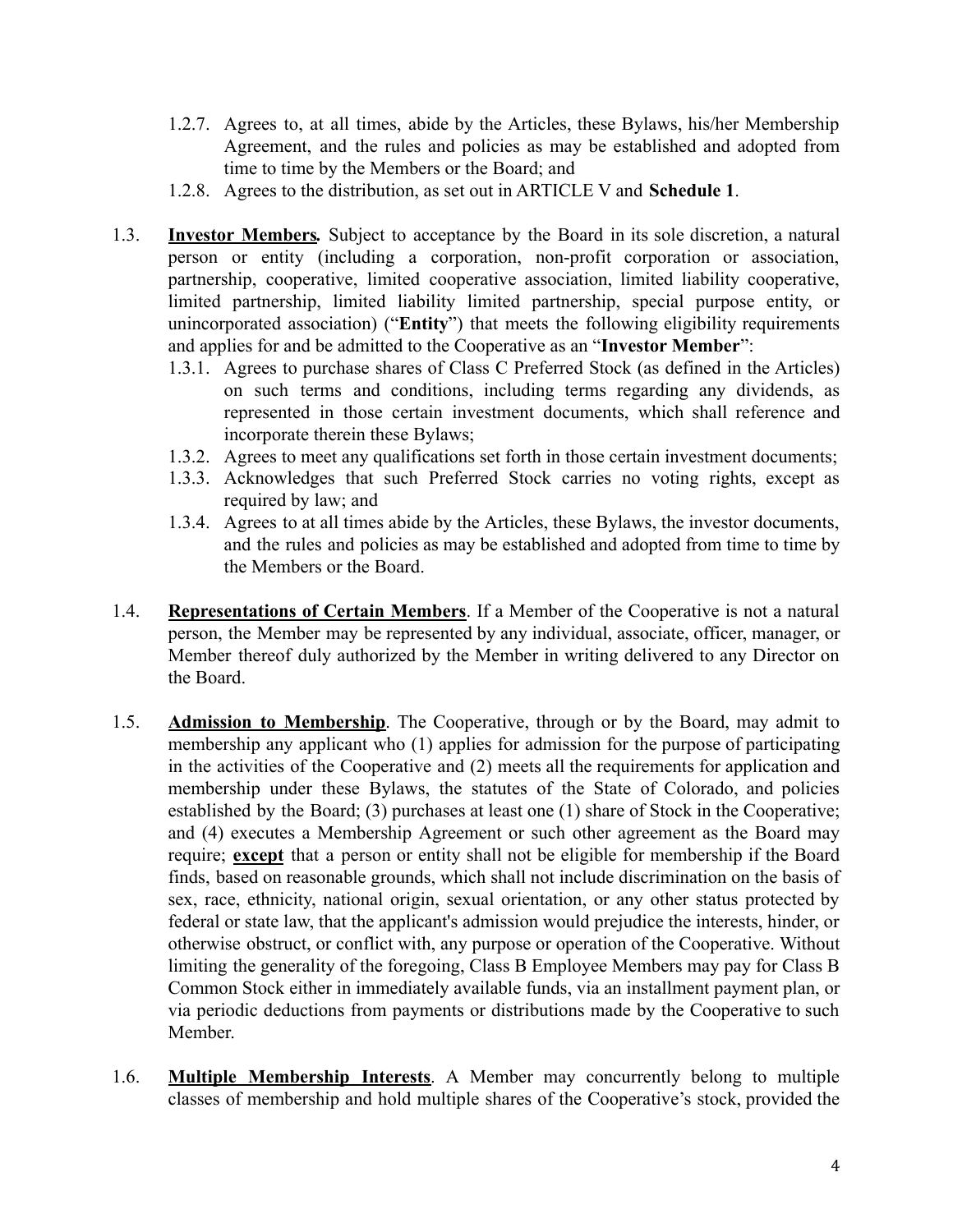- 1.2.7. Agrees to, at all times, abide by the Articles, these Bylaws, his/her Membership Agreement, and the rules and policies as may be established and adopted from time to time by the Members or the Board; and
- 1.2.8. Agrees to the distribution, as set out in ARTICLE V and **Schedule 1**.
- 1.3. **Investor Members***.* Subject to acceptance by the Board in its sole discretion, a natural person or entity (including a corporation, non-profit corporation or association, partnership, cooperative, limited cooperative association, limited liability cooperative, limited partnership, limited liability limited partnership, special purpose entity, or unincorporated association) ("**Entity**") that meets the following eligibility requirements and applies for and be admitted to the Cooperative as an "**Investor Member**":
	- 1.3.1. Agrees to purchase shares of Class C Preferred Stock (as defined in the Articles) on such terms and conditions, including terms regarding any dividends, as represented in those certain investment documents, which shall reference and incorporate therein these Bylaws;
	- 1.3.2. Agrees to meet any qualifications set forth in those certain investment documents;
	- 1.3.3. Acknowledges that such Preferred Stock carries no voting rights, except as required by law; and
	- 1.3.4. Agrees to at all times abide by the Articles, these Bylaws, the investor documents, and the rules and policies as may be established and adopted from time to time by the Members or the Board.
- 1.4. **Representations of Certain Members**. If a Member of the Cooperative is not a natural person, the Member may be represented by any individual, associate, officer, manager, or Member thereof duly authorized by the Member in writing delivered to any Director on the Board.
- 1.5. **Admission to Membership**. The Cooperative, through or by the Board, may admit to membership any applicant who (1) applies for admission for the purpose of participating in the activities of the Cooperative and (2) meets all the requirements for application and membership under these Bylaws, the statutes of the State of Colorado, and policies established by the Board; (3) purchases at least one (1) share of Stock in the Cooperative; and (4) executes a Membership Agreement or such other agreement as the Board may require; **except** that a person or entity shall not be eligible for membership if the Board finds, based on reasonable grounds, which shall not include discrimination on the basis of sex, race, ethnicity, national origin, sexual orientation, or any other status protected by federal or state law, that the applicant's admission would prejudice the interests, hinder, or otherwise obstruct, or conflict with, any purpose or operation of the Cooperative. Without limiting the generality of the foregoing, Class B Employee Members may pay for Class B Common Stock either in immediately available funds, via an installment payment plan, or via periodic deductions from payments or distributions made by the Cooperative to such Member.
- 1.6. **Multiple Membership Interests**. A Member may concurrently belong to multiple classes of membership and hold multiple shares of the Cooperative's stock, provided the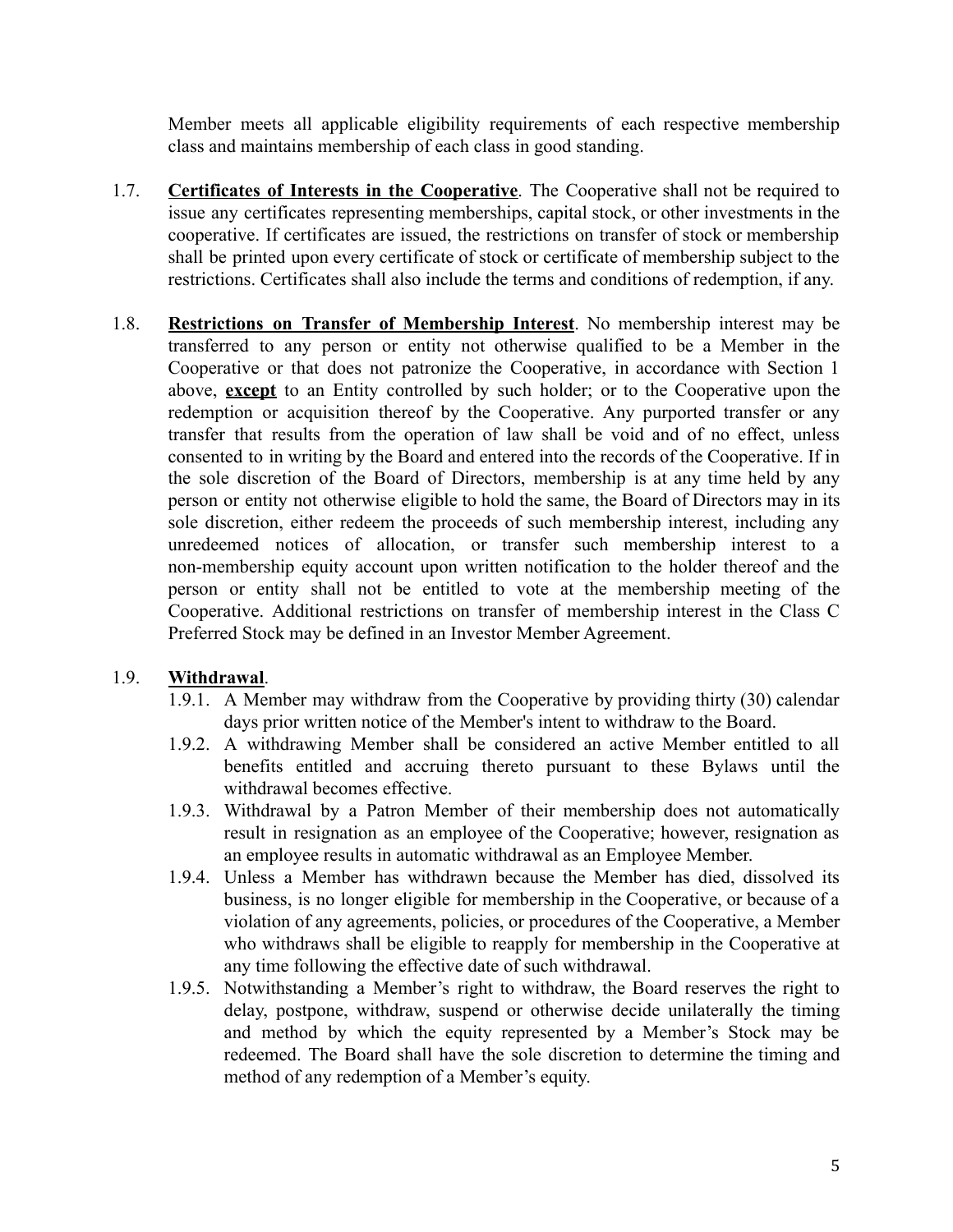Member meets all applicable eligibility requirements of each respective membership class and maintains membership of each class in good standing.

- 1.7. **Certificates of Interests in the Cooperative**. The Cooperative shall not be required to issue any certificates representing memberships, capital stock, or other investments in the cooperative. If certificates are issued, the restrictions on transfer of stock or membership shall be printed upon every certificate of stock or certificate of membership subject to the restrictions. Certificates shall also include the terms and conditions of redemption, if any.
- 1.8. **Restrictions on Transfer of Membership Interest**. No membership interest may be transferred to any person or entity not otherwise qualified to be a Member in the Cooperative or that does not patronize the Cooperative, in accordance with Section 1 above, **except** to an Entity controlled by such holder; or to the Cooperative upon the redemption or acquisition thereof by the Cooperative. Any purported transfer or any transfer that results from the operation of law shall be void and of no effect, unless consented to in writing by the Board and entered into the records of the Cooperative. If in the sole discretion of the Board of Directors, membership is at any time held by any person or entity not otherwise eligible to hold the same, the Board of Directors may in its sole discretion, either redeem the proceeds of such membership interest, including any unredeemed notices of allocation, or transfer such membership interest to a non-membership equity account upon written notification to the holder thereof and the person or entity shall not be entitled to vote at the membership meeting of the Cooperative. Additional restrictions on transfer of membership interest in the Class C Preferred Stock may be defined in an Investor Member Agreement.

# 1.9. **Withdrawal**.

- 1.9.1. A Member may withdraw from the Cooperative by providing thirty (30) calendar days prior written notice of the Member's intent to withdraw to the Board.
- 1.9.2. A withdrawing Member shall be considered an active Member entitled to all benefits entitled and accruing thereto pursuant to these Bylaws until the withdrawal becomes effective.
- 1.9.3. Withdrawal by a Patron Member of their membership does not automatically result in resignation as an employee of the Cooperative; however, resignation as an employee results in automatic withdrawal as an Employee Member.
- 1.9.4. Unless a Member has withdrawn because the Member has died, dissolved its business, is no longer eligible for membership in the Cooperative, or because of a violation of any agreements, policies, or procedures of the Cooperative, a Member who withdraws shall be eligible to reapply for membership in the Cooperative at any time following the effective date of such withdrawal.
- 1.9.5. Notwithstanding a Member's right to withdraw, the Board reserves the right to delay, postpone, withdraw, suspend or otherwise decide unilaterally the timing and method by which the equity represented by a Member's Stock may be redeemed. The Board shall have the sole discretion to determine the timing and method of any redemption of a Member's equity.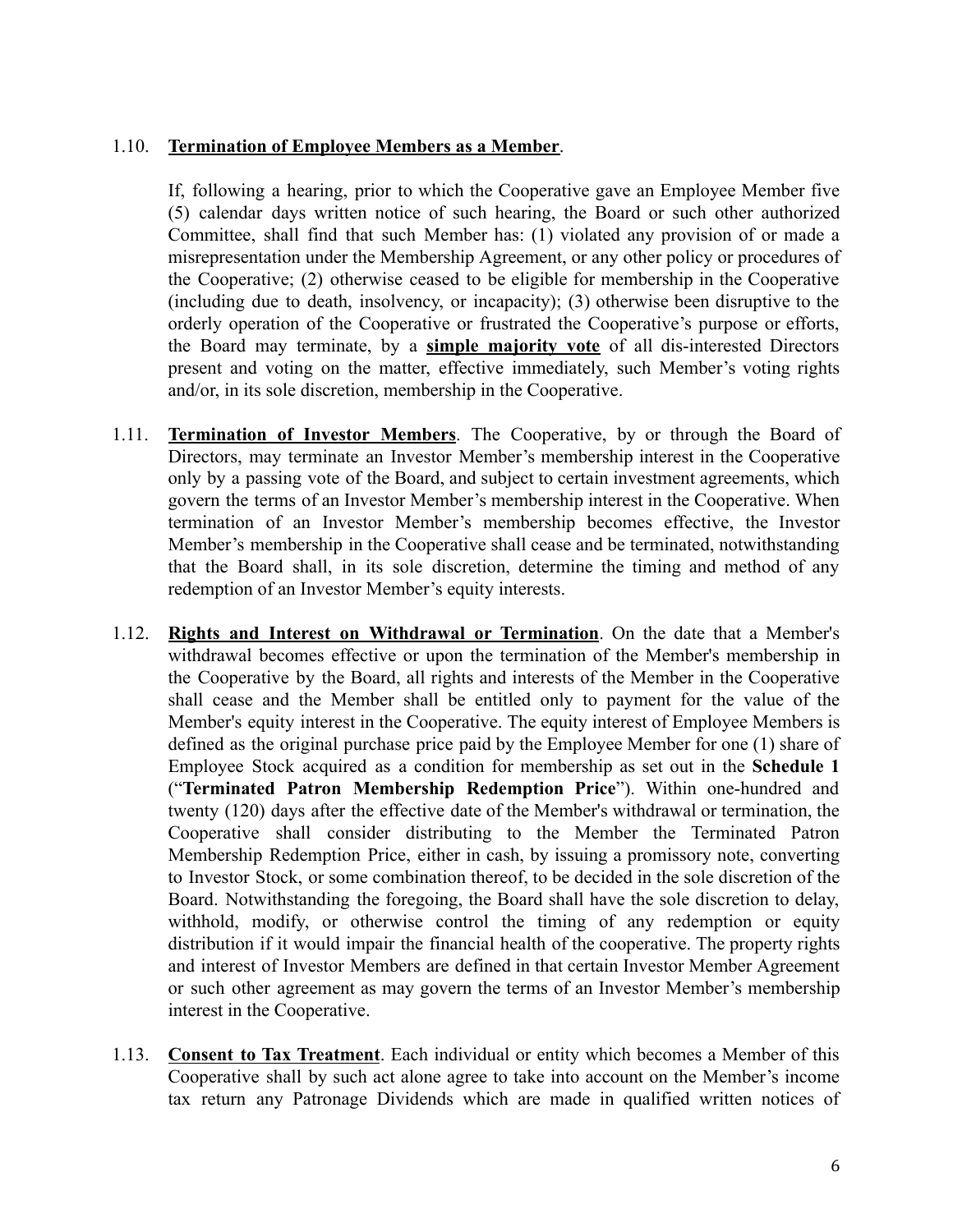## 1.10. **Termination of Employee Members as a Member**.

If, following a hearing, prior to which the Cooperative gave an Employee Member five (5) calendar days written notice of such hearing, the Board or such other authorized Committee, shall find that such Member has: (1) violated any provision of or made a misrepresentation under the Membership Agreement, or any other policy or procedures of the Cooperative; (2) otherwise ceased to be eligible for membership in the Cooperative (including due to death, insolvency, or incapacity); (3) otherwise been disruptive to the orderly operation of the Cooperative or frustrated the Cooperative's purpose or efforts, the Board may terminate, by a **simple majority vote** of all dis-interested Directors present and voting on the matter, effective immediately, such Member's voting rights and/or, in its sole discretion, membership in the Cooperative.

- 1.11. **Termination of Investor Members**. The Cooperative, by or through the Board of Directors, may terminate an Investor Member's membership interest in the Cooperative only by a passing vote of the Board, and subject to certain investment agreements, which govern the terms of an Investor Member's membership interest in the Cooperative. When termination of an Investor Member's membership becomes effective, the Investor Member's membership in the Cooperative shall cease and be terminated, notwithstanding that the Board shall, in its sole discretion, determine the timing and method of any redemption of an Investor Member's equity interests.
- 1.12. **Rights and Interest on Withdrawal or Termination**. On the date that a Member's withdrawal becomes effective or upon the termination of the Member's membership in the Cooperative by the Board, all rights and interests of the Member in the Cooperative shall cease and the Member shall be entitled only to payment for the value of the Member's equity interest in the Cooperative. The equity interest of Employee Members is defined as the original purchase price paid by the Employee Member for one (1) share of Employee Stock acquired as a condition for membership as set out in the **Schedule 1** ("**Terminated Patron Membership Redemption Price**"). Within one-hundred and twenty (120) days after the effective date of the Member's withdrawal or termination, the Cooperative shall consider distributing to the Member the Terminated Patron Membership Redemption Price, either in cash, by issuing a promissory note, converting to Investor Stock, or some combination thereof, to be decided in the sole discretion of the Board. Notwithstanding the foregoing, the Board shall have the sole discretion to delay, withhold, modify, or otherwise control the timing of any redemption or equity distribution if it would impair the financial health of the cooperative. The property rights and interest of Investor Members are defined in that certain Investor Member Agreement or such other agreement as may govern the terms of an Investor Member's membership interest in the Cooperative.
- 1.13. **Consent to Tax Treatment**. Each individual or entity which becomes a Member of this Cooperative shall by such act alone agree to take into account on the Member's income tax return any Patronage Dividends which are made in qualified written notices of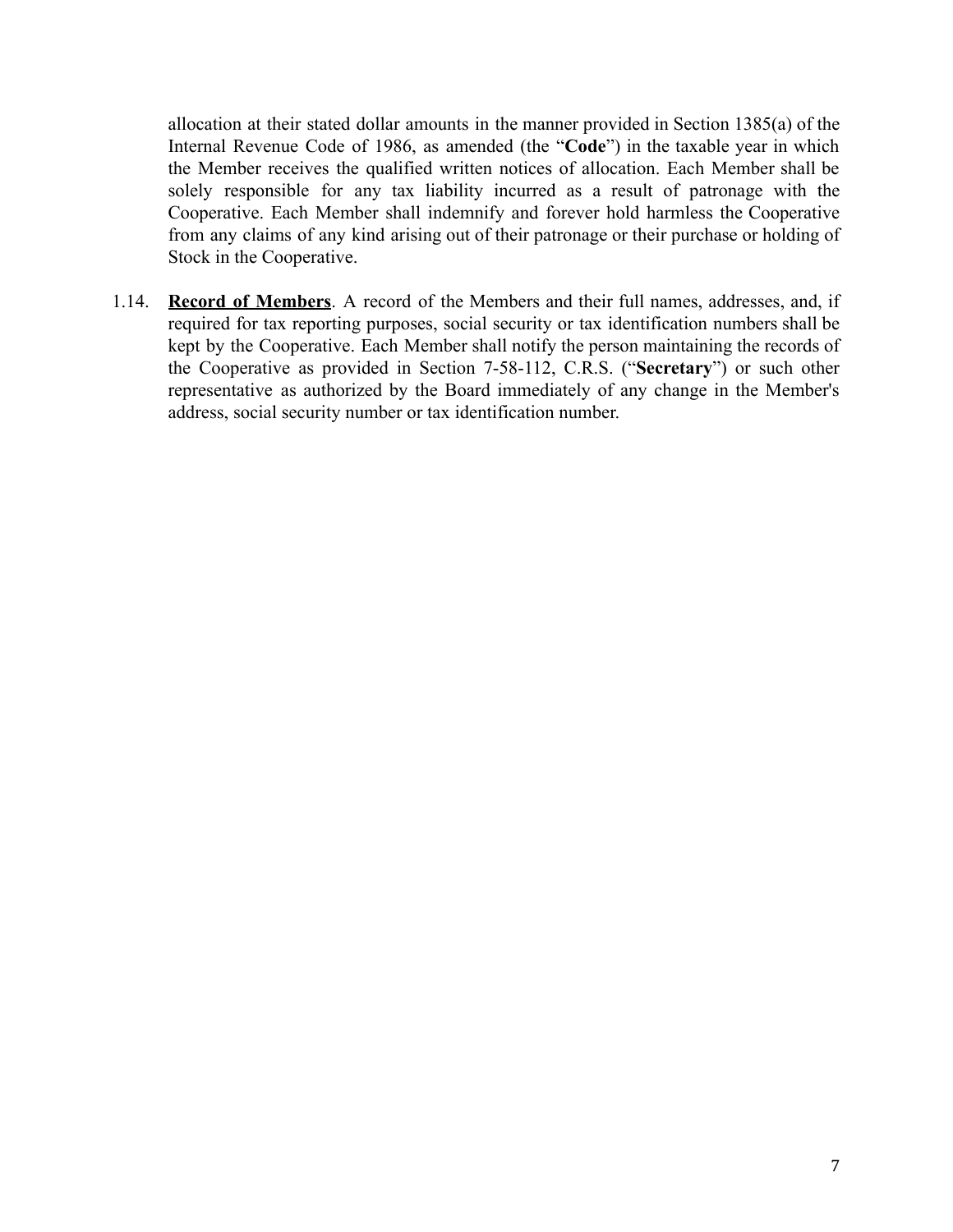allocation at their stated dollar amounts in the manner provided in Section 1385(a) of the Internal Revenue Code of 1986, as amended (the "**Code**") in the taxable year in which the Member receives the qualified written notices of allocation. Each Member shall be solely responsible for any tax liability incurred as a result of patronage with the Cooperative. Each Member shall indemnify and forever hold harmless the Cooperative from any claims of any kind arising out of their patronage or their purchase or holding of Stock in the Cooperative.

1.14. **Record of Members**. A record of the Members and their full names, addresses, and, if required for tax reporting purposes, social security or tax identification numbers shall be kept by the Cooperative. Each Member shall notify the person maintaining the records of the Cooperative as provided in Section 7-58-112, C.R.S. ("**Secretary**") or such other representative as authorized by the Board immediately of any change in the Member's address, social security number or tax identification number.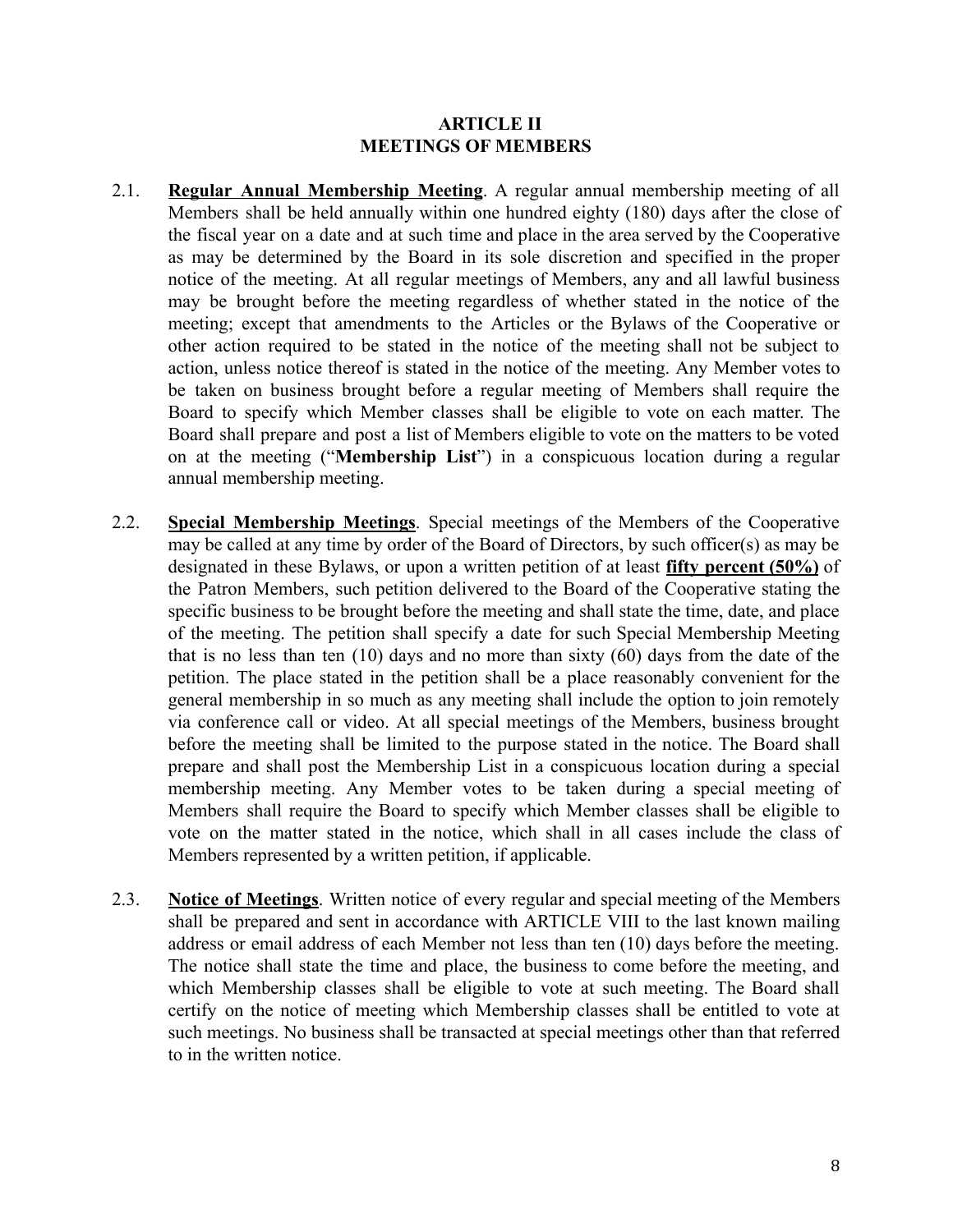#### **ARTICLE II MEETINGS OF MEMBERS**

- <span id="page-7-0"></span>2.1. **Regular Annual Membership Meeting**. A regular annual membership meeting of all Members shall be held annually within one hundred eighty (180) days after the close of the fiscal year on a date and at such time and place in the area served by the Cooperative as may be determined by the Board in its sole discretion and specified in the proper notice of the meeting. At all regular meetings of Members, any and all lawful business may be brought before the meeting regardless of whether stated in the notice of the meeting; except that amendments to the Articles or the Bylaws of the Cooperative or other action required to be stated in the notice of the meeting shall not be subject to action, unless notice thereof is stated in the notice of the meeting. Any Member votes to be taken on business brought before a regular meeting of Members shall require the Board to specify which Member classes shall be eligible to vote on each matter. The Board shall prepare and post a list of Members eligible to vote on the matters to be voted on at the meeting ("**Membership List**") in a conspicuous location during a regular annual membership meeting.
- 2.2. **Special Membership Meetings**. Special meetings of the Members of the Cooperative may be called at any time by order of the Board of Directors, by such officer(s) as may be designated in these Bylaws, or upon a written petition of at least **fifty percent (50%)** of the Patron Members, such petition delivered to the Board of the Cooperative stating the specific business to be brought before the meeting and shall state the time, date, and place of the meeting. The petition shall specify a date for such Special Membership Meeting that is no less than ten (10) days and no more than sixty (60) days from the date of the petition. The place stated in the petition shall be a place reasonably convenient for the general membership in so much as any meeting shall include the option to join remotely via conference call or video. At all special meetings of the Members, business brought before the meeting shall be limited to the purpose stated in the notice. The Board shall prepare and shall post the Membership List in a conspicuous location during a special membership meeting. Any Member votes to be taken during a special meeting of Members shall require the Board to specify which Member classes shall be eligible to vote on the matter stated in the notice, which shall in all cases include the class of Members represented by a written petition, if applicable.
- 2.3. **Notice of Meetings**. Written notice of every regular and special meeting of the Members shall be prepared and sent in accordance with ARTICLE VIII to the last known mailing address or email address of each Member not less than ten (10) days before the meeting. The notice shall state the time and place, the business to come before the meeting, and which Membership classes shall be eligible to vote at such meeting. The Board shall certify on the notice of meeting which Membership classes shall be entitled to vote at such meetings. No business shall be transacted at special meetings other than that referred to in the written notice.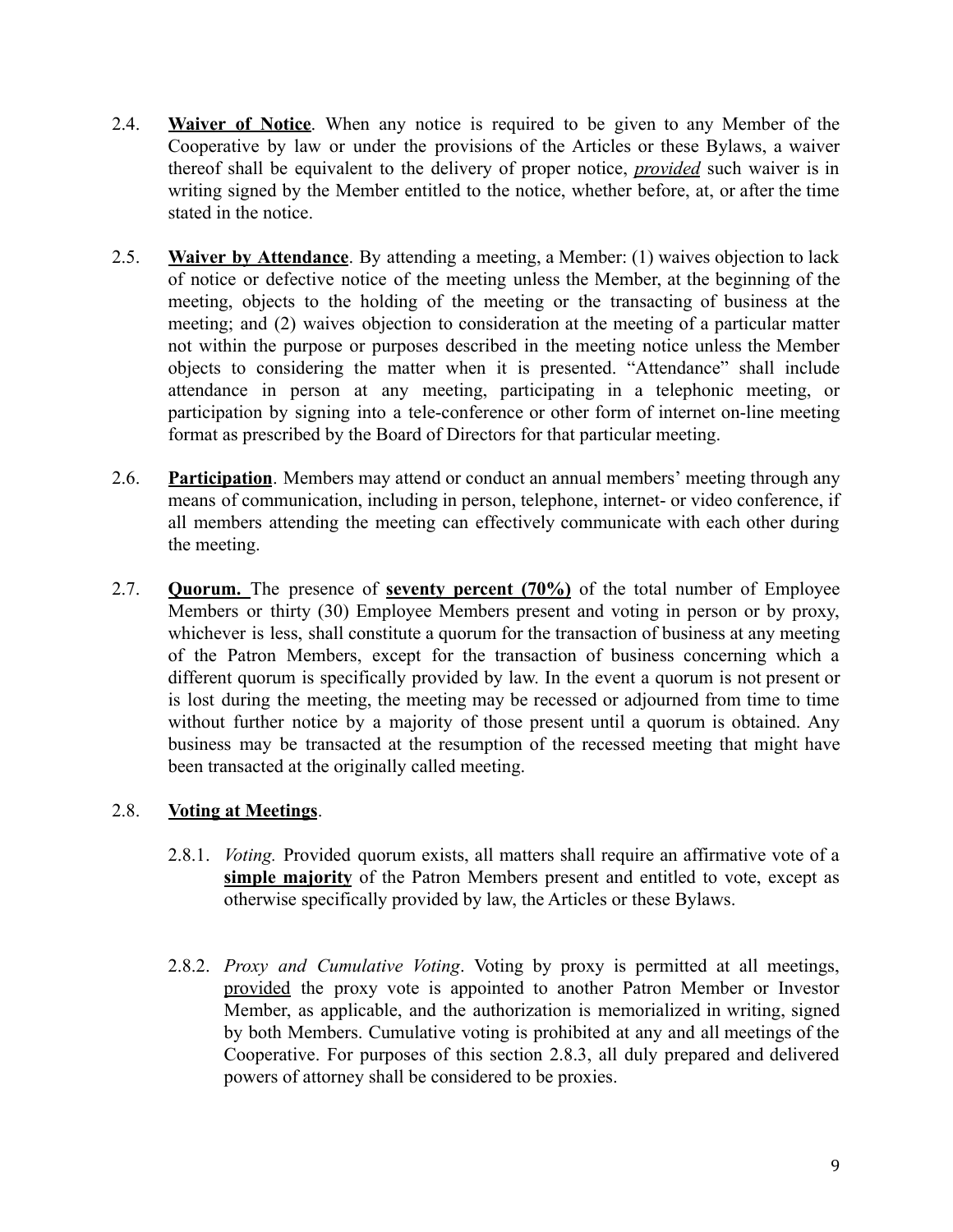- 2.4. **Waiver of Notice**. When any notice is required to be given to any Member of the Cooperative by law or under the provisions of the Articles or these Bylaws, a waiver thereof shall be equivalent to the delivery of proper notice, *provided* such waiver is in writing signed by the Member entitled to the notice, whether before, at, or after the time stated in the notice.
- 2.5. **Waiver by Attendance**. By attending a meeting, a Member: (1) waives objection to lack of notice or defective notice of the meeting unless the Member, at the beginning of the meeting, objects to the holding of the meeting or the transacting of business at the meeting; and (2) waives objection to consideration at the meeting of a particular matter not within the purpose or purposes described in the meeting notice unless the Member objects to considering the matter when it is presented. "Attendance" shall include attendance in person at any meeting, participating in a telephonic meeting, or participation by signing into a tele-conference or other form of internet on-line meeting format as prescribed by the Board of Directors for that particular meeting.
- 2.6. **Participation**. Members may attend or conduct an annual members' meeting through any means of communication, including in person, telephone, internet- or video conference, if all members attending the meeting can effectively communicate with each other during the meeting.
- 2.7. **Quorum.** The presence of **seventy percent (70%)** of the total number of Employee Members or thirty (30) Employee Members present and voting in person or by proxy, whichever is less, shall constitute a quorum for the transaction of business at any meeting of the Patron Members, except for the transaction of business concerning which a different quorum is specifically provided by law. In the event a quorum is not present or is lost during the meeting, the meeting may be recessed or adjourned from time to time without further notice by a majority of those present until a quorum is obtained. Any business may be transacted at the resumption of the recessed meeting that might have been transacted at the originally called meeting.

# 2.8. **Voting at Meetings**.

- 2.8.1. *Voting.* Provided quorum exists, all matters shall require an affirmative vote of a **simple majority** of the Patron Members present and entitled to vote, except as otherwise specifically provided by law, the Articles or these Bylaws.
- 2.8.2. *Proxy and Cumulative Voting*. Voting by proxy is permitted at all meetings, provided the proxy vote is appointed to another Patron Member or Investor Member, as applicable, and the authorization is memorialized in writing, signed by both Members. Cumulative voting is prohibited at any and all meetings of the Cooperative. For purposes of this section 2.8.3, all duly prepared and delivered powers of attorney shall be considered to be proxies.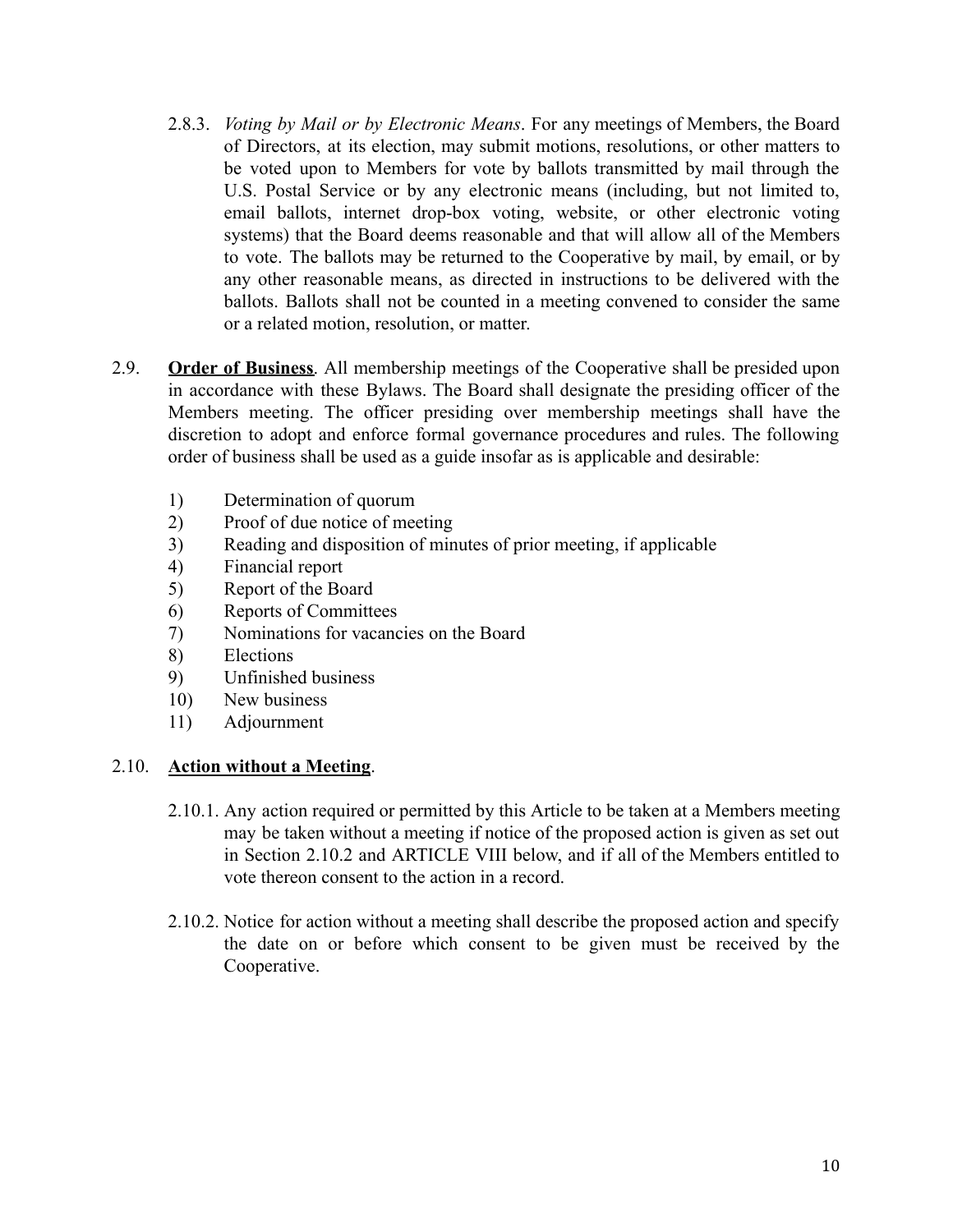- 2.8.3. *Voting by Mail or by Electronic Means*. For any meetings of Members, the Board of Directors, at its election, may submit motions, resolutions, or other matters to be voted upon to Members for vote by ballots transmitted by mail through the U.S. Postal Service or by any electronic means (including, but not limited to, email ballots, internet drop-box voting, website, or other electronic voting systems) that the Board deems reasonable and that will allow all of the Members to vote. The ballots may be returned to the Cooperative by mail, by email, or by any other reasonable means, as directed in instructions to be delivered with the ballots. Ballots shall not be counted in a meeting convened to consider the same or a related motion, resolution, or matter.
- 2.9. **Order of Business**. All membership meetings of the Cooperative shall be presided upon in accordance with these Bylaws. The Board shall designate the presiding officer of the Members meeting. The officer presiding over membership meetings shall have the discretion to adopt and enforce formal governance procedures and rules. The following order of business shall be used as a guide insofar as is applicable and desirable:
	- 1) Determination of quorum
	- 2) Proof of due notice of meeting
	- 3) Reading and disposition of minutes of prior meeting, if applicable
	- 4) Financial report
	- 5) Report of the Board
	- 6) Reports of Committees
	- 7) Nominations for vacancies on the Board
	- 8) Elections
	- 9) Unfinished business
	- 10) New business
	- 11) Adjournment

#### 2.10. **Action without a Meeting**.

- 2.10.1. Any action required or permitted by this Article to be taken at a Members meeting may be taken without a meeting if notice of the proposed action is given as set out in Section 2.10.2 and ARTICLE VIII below, and if all of the Members entitled to vote thereon consent to the action in a record.
- 2.10.2. Notice for action without a meeting shall describe the proposed action and specify the date on or before which consent to be given must be received by the Cooperative.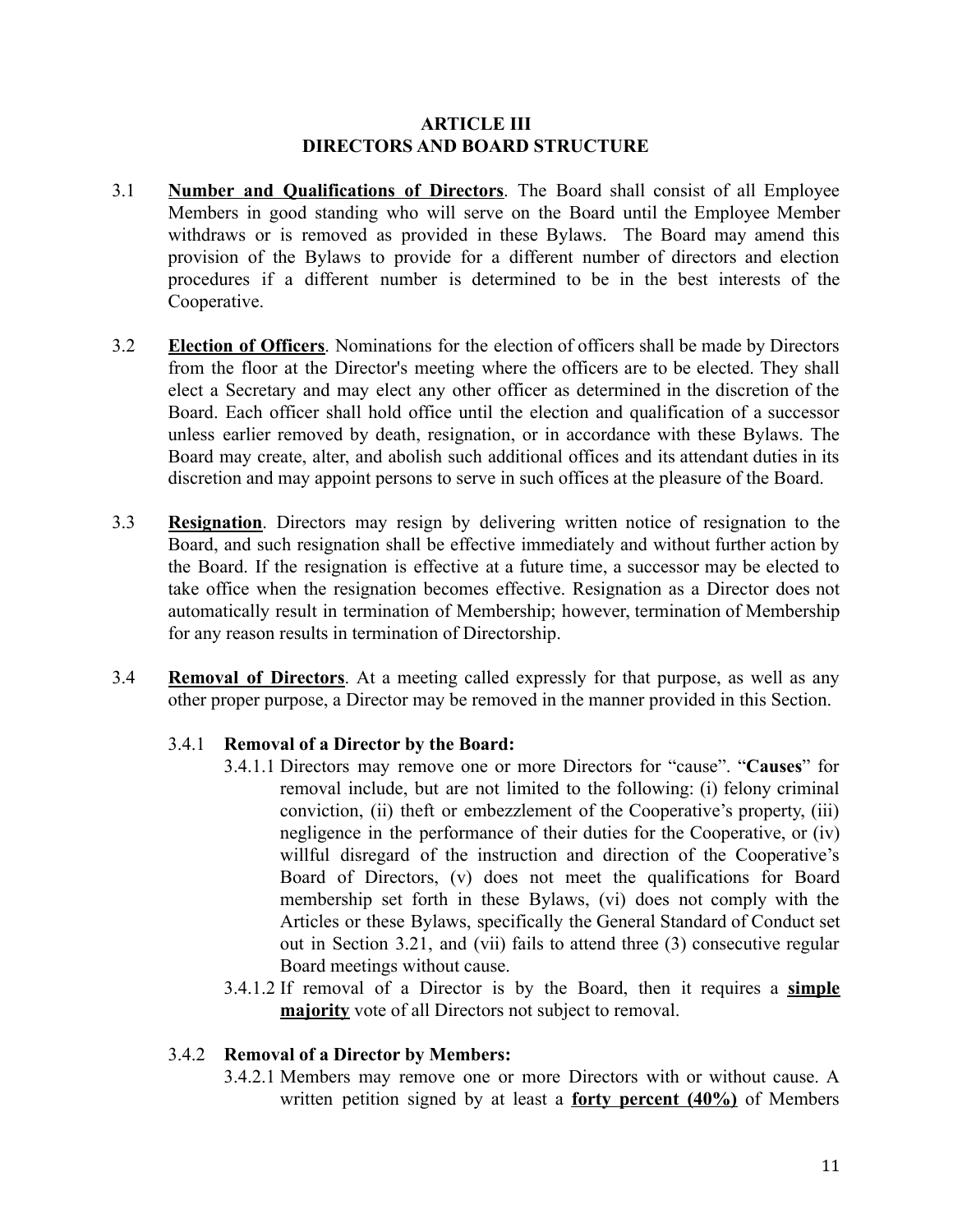## **ARTICLE III DIRECTORS AND BOARD STRUCTURE**

- <span id="page-10-0"></span>3.1 **Number and Qualifications of Directors**. The Board shall consist of all Employee Members in good standing who will serve on the Board until the Employee Member withdraws or is removed as provided in these Bylaws. The Board may amend this provision of the Bylaws to provide for a different number of directors and election procedures if a different number is determined to be in the best interests of the Cooperative.
- 3.2 **Election of Officers**. Nominations for the election of officers shall be made by Directors from the floor at the Director's meeting where the officers are to be elected. They shall elect a Secretary and may elect any other officer as determined in the discretion of the Board. Each officer shall hold office until the election and qualification of a successor unless earlier removed by death, resignation, or in accordance with these Bylaws. The Board may create, alter, and abolish such additional offices and its attendant duties in its discretion and may appoint persons to serve in such offices at the pleasure of the Board.
- 3.3 **Resignation**. Directors may resign by delivering written notice of resignation to the Board, and such resignation shall be effective immediately and without further action by the Board. If the resignation is effective at a future time, a successor may be elected to take office when the resignation becomes effective. Resignation as a Director does not automatically result in termination of Membership; however, termination of Membership for any reason results in termination of Directorship.
- 3.4 **Removal of Directors**. At a meeting called expressly for that purpose, as well as any other proper purpose, a Director may be removed in the manner provided in this Section.

# 3.4.1 **Removal of a Director by the Board:**

- 3.4.1.1 Directors may remove one or more Directors for "cause". "**Causes**" for removal include, but are not limited to the following: (i) felony criminal conviction, (ii) theft or embezzlement of the Cooperative's property, (iii) negligence in the performance of their duties for the Cooperative, or (iv) willful disregard of the instruction and direction of the Cooperative's Board of Directors, (v) does not meet the qualifications for Board membership set forth in these Bylaws, (vi) does not comply with the Articles or these Bylaws, specifically the General Standard of Conduct set out in Section 3.21, and (vii) fails to attend three (3) consecutive regular Board meetings without cause.
- 3.4.1.2 If removal of a Director is by the Board, then it requires a **simple majority** vote of all Directors not subject to removal.

#### 3.4.2 **Removal of a Director by Members:**

3.4.2.1 Members may remove one or more Directors with or without cause. A written petition signed by at least a **forty percent (40%)** of Members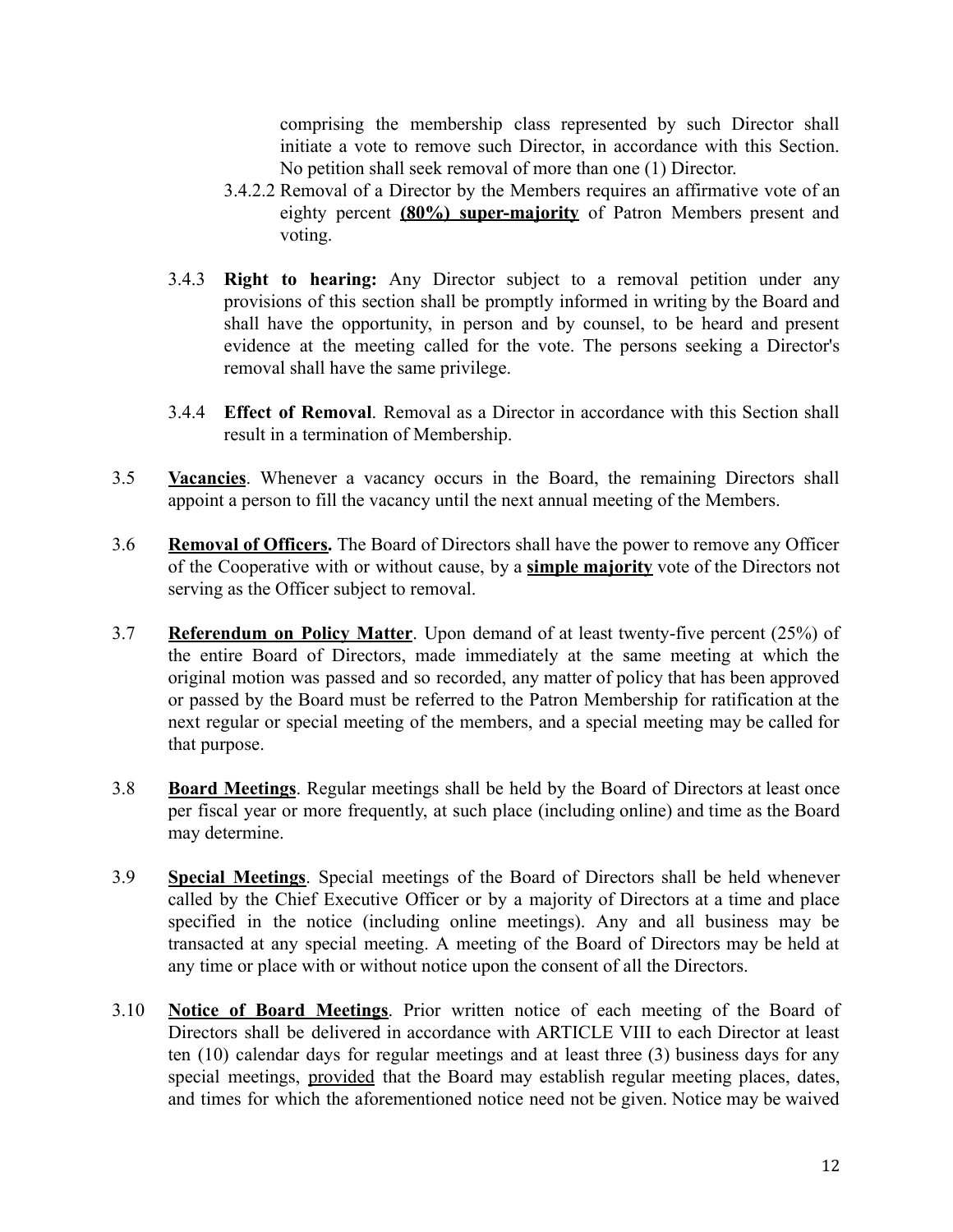comprising the membership class represented by such Director shall initiate a vote to remove such Director, in accordance with this Section. No petition shall seek removal of more than one (1) Director.

- 3.4.2.2 Removal of a Director by the Members requires an affirmative vote of an eighty percent **(80%) super-majority** of Patron Members present and voting.
- 3.4.3 **Right to hearing:** Any Director subject to a removal petition under any provisions of this section shall be promptly informed in writing by the Board and shall have the opportunity, in person and by counsel, to be heard and present evidence at the meeting called for the vote. The persons seeking a Director's removal shall have the same privilege.
- 3.4.4 **Effect of Removal**. Removal as a Director in accordance with this Section shall result in a termination of Membership.
- 3.5 **Vacancies**. Whenever a vacancy occurs in the Board, the remaining Directors shall appoint a person to fill the vacancy until the next annual meeting of the Members.
- 3.6 **Removal of Officers.** The Board of Directors shall have the power to remove any Officer of the Cooperative with or without cause, by a **simple majority** vote of the Directors not serving as the Officer subject to removal.
- 3.7 **Referendum on Policy Matter**. Upon demand of at least twenty-five percent (25%) of the entire Board of Directors, made immediately at the same meeting at which the original motion was passed and so recorded, any matter of policy that has been approved or passed by the Board must be referred to the Patron Membership for ratification at the next regular or special meeting of the members, and a special meeting may be called for that purpose.
- 3.8 **Board Meetings**. Regular meetings shall be held by the Board of Directors at least once per fiscal year or more frequently, at such place (including online) and time as the Board may determine.
- 3.9 **Special Meetings**. Special meetings of the Board of Directors shall be held whenever called by the Chief Executive Officer or by a majority of Directors at a time and place specified in the notice (including online meetings). Any and all business may be transacted at any special meeting. A meeting of the Board of Directors may be held at any time or place with or without notice upon the consent of all the Directors.
- 3.10 **Notice of Board Meetings**. Prior written notice of each meeting of the Board of Directors shall be delivered in accordance with ARTICLE VIII to each Director at least ten (10) calendar days for regular meetings and at least three (3) business days for any special meetings, provided that the Board may establish regular meeting places, dates, and times for which the aforementioned notice need not be given. Notice may be waived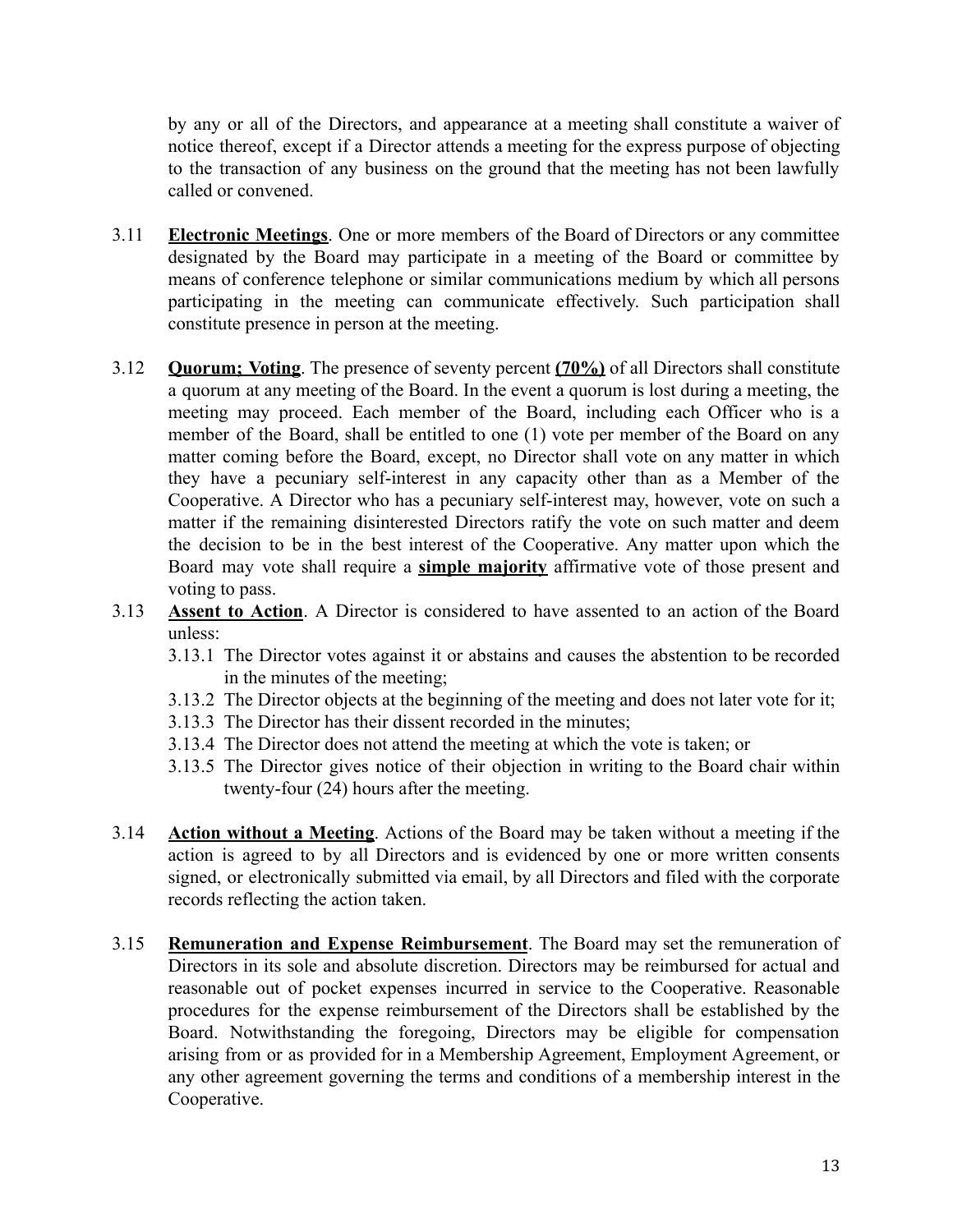by any or all of the Directors, and appearance at a meeting shall constitute a waiver of notice thereof, except if a Director attends a meeting for the express purpose of objecting to the transaction of any business on the ground that the meeting has not been lawfully called or convened.

- 3.11 **Electronic Meetings**. One or more members of the Board of Directors or any committee designated by the Board may participate in a meeting of the Board or committee by means of conference telephone or similar communications medium by which all persons participating in the meeting can communicate effectively. Such participation shall constitute presence in person at the meeting.
- 3.12 **Quorum; Voting**. The presence of seventy percent **(70%)** of all Directors shall constitute a quorum at any meeting of the Board. In the event a quorum is lost during a meeting, the meeting may proceed. Each member of the Board, including each Officer who is a member of the Board, shall be entitled to one (1) vote per member of the Board on any matter coming before the Board, except, no Director shall vote on any matter in which they have a pecuniary self-interest in any capacity other than as a Member of the Cooperative. A Director who has a pecuniary self-interest may, however, vote on such a matter if the remaining disinterested Directors ratify the vote on such matter and deem the decision to be in the best interest of the Cooperative. Any matter upon which the Board may vote shall require a **simple majority** affirmative vote of those present and voting to pass.
- 3.13 **Assent to Action**. A Director is considered to have assented to an action of the Board unless:
	- 3.13.1 The Director votes against it or abstains and causes the abstention to be recorded in the minutes of the meeting;
	- 3.13.2 The Director objects at the beginning of the meeting and does not later vote for it;
	- 3.13.3 The Director has their dissent recorded in the minutes;
	- 3.13.4 The Director does not attend the meeting at which the vote is taken; or
	- 3.13.5 The Director gives notice of their objection in writing to the Board chair within twenty-four (24) hours after the meeting.
- 3.14 **Action without a Meeting**. Actions of the Board may be taken without a meeting if the action is agreed to by all Directors and is evidenced by one or more written consents signed, or electronically submitted via email, by all Directors and filed with the corporate records reflecting the action taken.
- 3.15 **Remuneration and Expense Reimbursement**. The Board may set the remuneration of Directors in its sole and absolute discretion. Directors may be reimbursed for actual and reasonable out of pocket expenses incurred in service to the Cooperative. Reasonable procedures for the expense reimbursement of the Directors shall be established by the Board. Notwithstanding the foregoing, Directors may be eligible for compensation arising from or as provided for in a Membership Agreement, Employment Agreement, or any other agreement governing the terms and conditions of a membership interest in the Cooperative.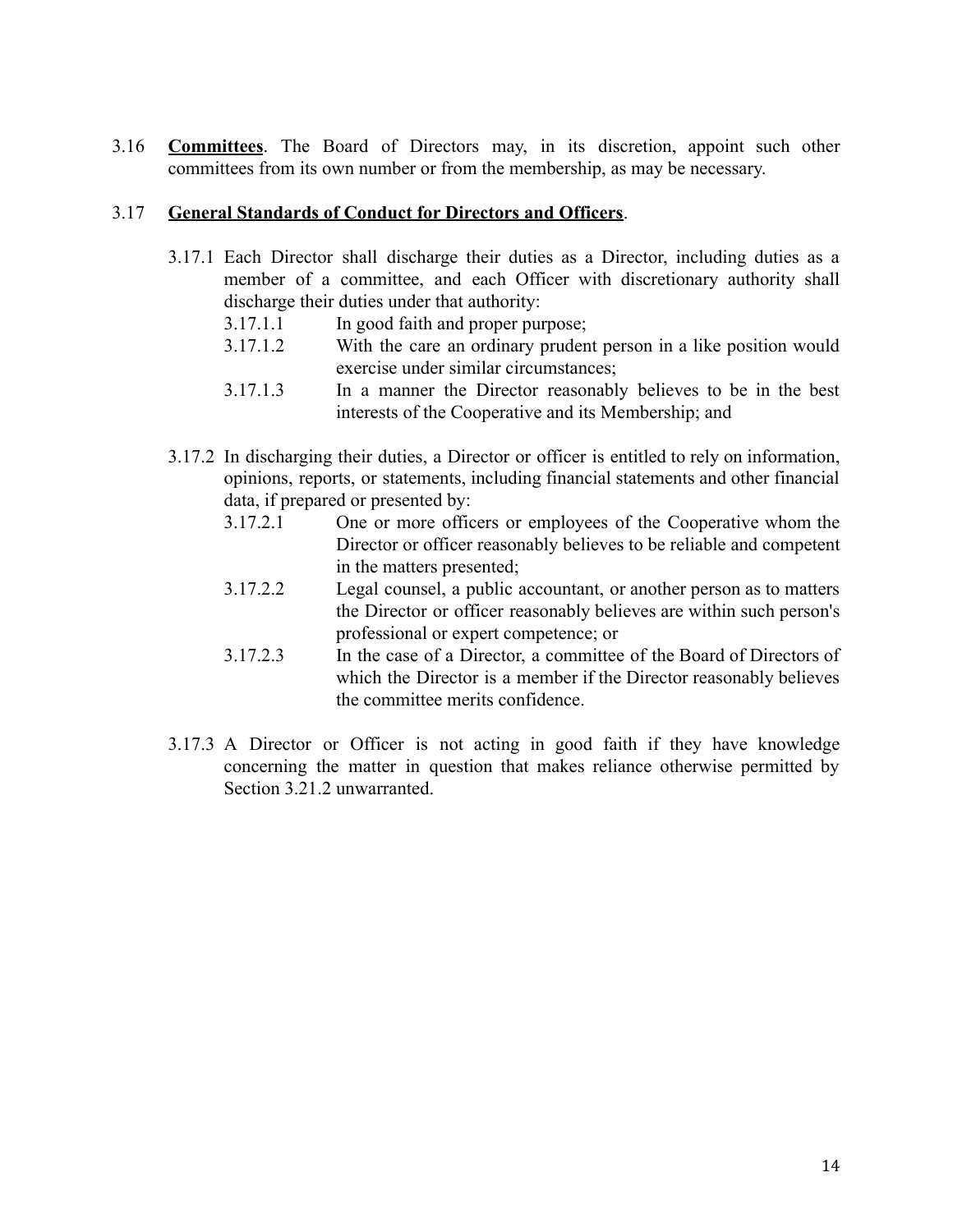3.16 **Committees**. The Board of Directors may, in its discretion, appoint such other committees from its own number or from the membership, as may be necessary.

## 3.17 **General Standards of Conduct for Directors and Officers**.

- 3.17.1 Each Director shall discharge their duties as a Director, including duties as a member of a committee, and each Officer with discretionary authority shall discharge their duties under that authority:
	- 3.17.1.1 In good faith and proper purpose;
	- 3.17.1.2 With the care an ordinary prudent person in a like position would exercise under similar circumstances;
	- 3.17.1.3 In a manner the Director reasonably believes to be in the best interests of the Cooperative and its Membership; and
- 3.17.2 In discharging their duties, a Director or officer is entitled to rely on information, opinions, reports, or statements, including financial statements and other financial data, if prepared or presented by:
	- 3.17.2.1 One or more officers or employees of the Cooperative whom the Director or officer reasonably believes to be reliable and competent in the matters presented;
	- 3.17.2.2 Legal counsel, a public accountant, or another person as to matters the Director or officer reasonably believes are within such person's professional or expert competence; or
	- 3.17.2.3 In the case of a Director, a committee of the Board of Directors of which the Director is a member if the Director reasonably believes the committee merits confidence.
- 3.17.3 A Director or Officer is not acting in good faith if they have knowledge concerning the matter in question that makes reliance otherwise permitted by Section 3.21.2 unwarranted.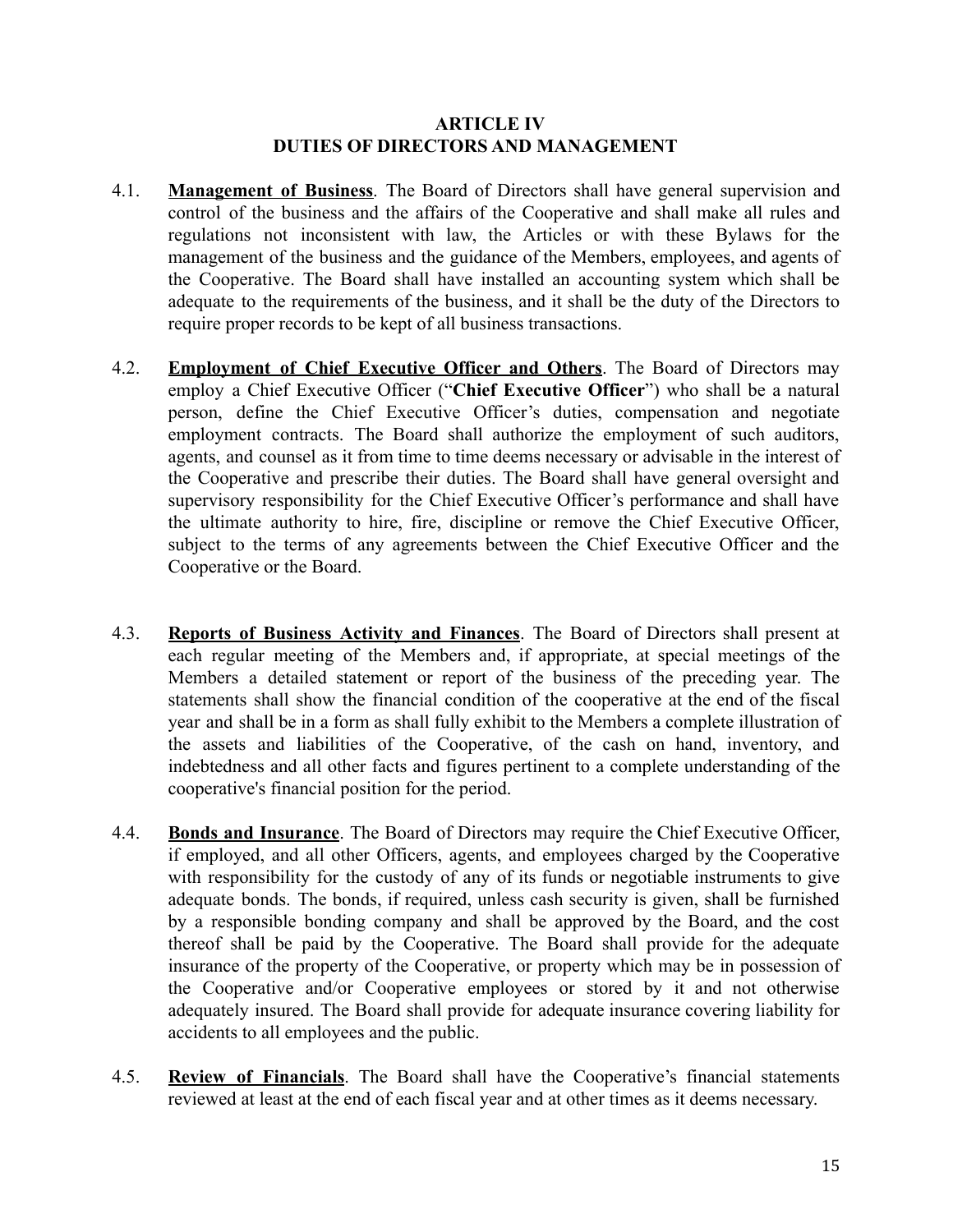## **ARTICLE IV DUTIES OF DIRECTORS AND MANAGEMENT**

- <span id="page-14-0"></span>4.1. **Management of Business**. The Board of Directors shall have general supervision and control of the business and the affairs of the Cooperative and shall make all rules and regulations not inconsistent with law, the Articles or with these Bylaws for the management of the business and the guidance of the Members, employees, and agents of the Cooperative. The Board shall have installed an accounting system which shall be adequate to the requirements of the business, and it shall be the duty of the Directors to require proper records to be kept of all business transactions.
- 4.2. **Employment of Chief Executive Officer and Others**. The Board of Directors may employ a Chief Executive Officer ("**Chief Executive Officer**") who shall be a natural person, define the Chief Executive Officer's duties, compensation and negotiate employment contracts. The Board shall authorize the employment of such auditors, agents, and counsel as it from time to time deems necessary or advisable in the interest of the Cooperative and prescribe their duties. The Board shall have general oversight and supervisory responsibility for the Chief Executive Officer's performance and shall have the ultimate authority to hire, fire, discipline or remove the Chief Executive Officer, subject to the terms of any agreements between the Chief Executive Officer and the Cooperative or the Board.
- 4.3. **Reports of Business Activity and Finances**. The Board of Directors shall present at each regular meeting of the Members and, if appropriate, at special meetings of the Members a detailed statement or report of the business of the preceding year. The statements shall show the financial condition of the cooperative at the end of the fiscal year and shall be in a form as shall fully exhibit to the Members a complete illustration of the assets and liabilities of the Cooperative, of the cash on hand, inventory, and indebtedness and all other facts and figures pertinent to a complete understanding of the cooperative's financial position for the period.
- 4.4. **Bonds and Insurance**. The Board of Directors may require the Chief Executive Officer, if employed, and all other Officers, agents, and employees charged by the Cooperative with responsibility for the custody of any of its funds or negotiable instruments to give adequate bonds. The bonds, if required, unless cash security is given, shall be furnished by a responsible bonding company and shall be approved by the Board, and the cost thereof shall be paid by the Cooperative. The Board shall provide for the adequate insurance of the property of the Cooperative, or property which may be in possession of the Cooperative and/or Cooperative employees or stored by it and not otherwise adequately insured. The Board shall provide for adequate insurance covering liability for accidents to all employees and the public.
- 4.5. **Review of Financials**. The Board shall have the Cooperative's financial statements reviewed at least at the end of each fiscal year and at other times as it deems necessary.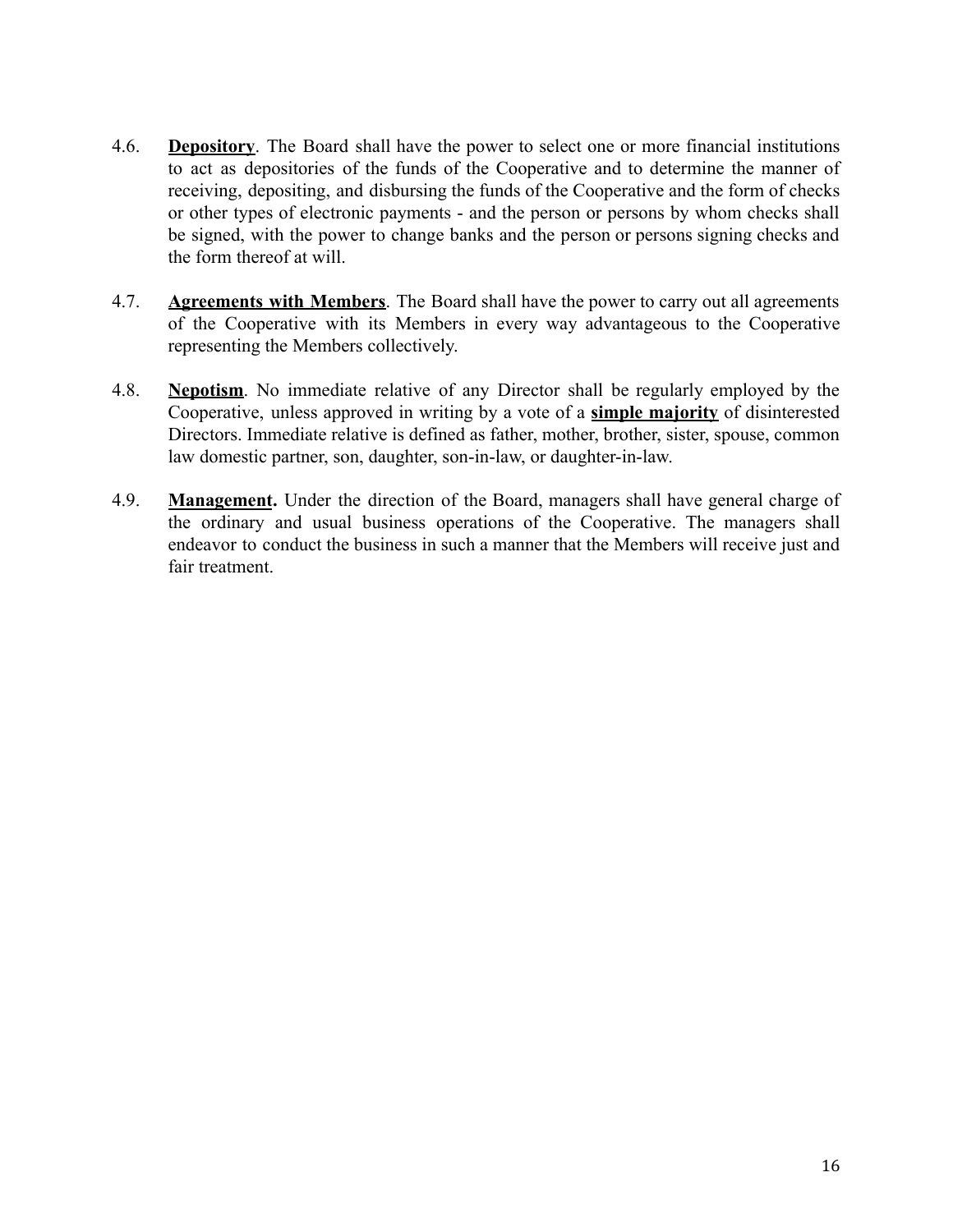- 4.6. **Depository**. The Board shall have the power to select one or more financial institutions to act as depositories of the funds of the Cooperative and to determine the manner of receiving, depositing, and disbursing the funds of the Cooperative and the form of checks or other types of electronic payments - and the person or persons by whom checks shall be signed, with the power to change banks and the person or persons signing checks and the form thereof at will.
- 4.7. **Agreements with Members**. The Board shall have the power to carry out all agreements of the Cooperative with its Members in every way advantageous to the Cooperative representing the Members collectively.
- 4.8. **Nepotism**. No immediate relative of any Director shall be regularly employed by the Cooperative, unless approved in writing by a vote of a **simple majority** of disinterested Directors. Immediate relative is defined as father, mother, brother, sister, spouse, common law domestic partner, son, daughter, son-in-law, or daughter-in-law.
- 4.9. **Management.** Under the direction of the Board, managers shall have general charge of the ordinary and usual business operations of the Cooperative. The managers shall endeavor to conduct the business in such a manner that the Members will receive just and fair treatment.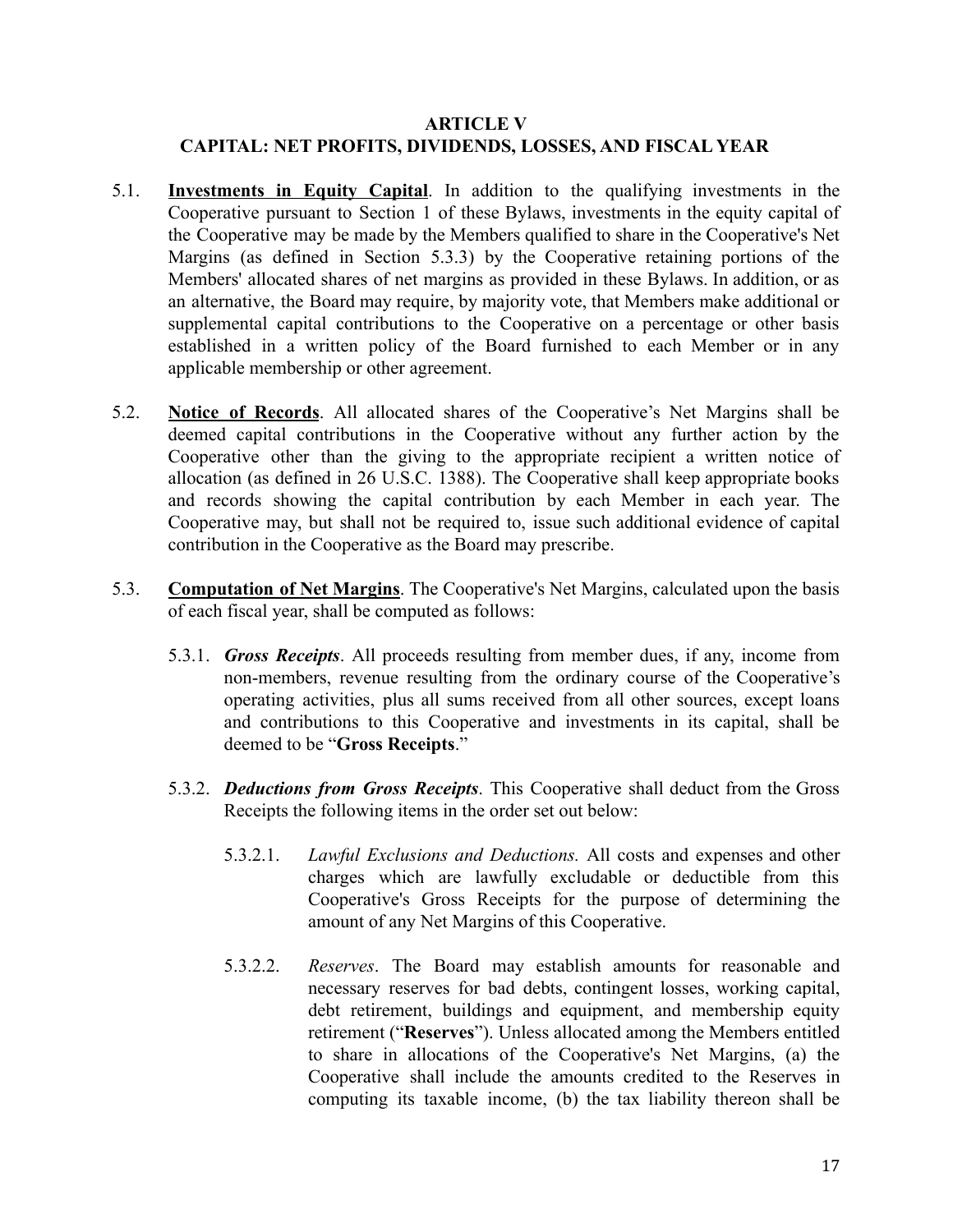# <span id="page-16-0"></span>**ARTICLE V CAPITAL: NET PROFITS, DIVIDENDS, LOSSES, AND FISCAL YEAR**

- 5.1. **Investments in Equity Capital**. In addition to the qualifying investments in the Cooperative pursuant to Section 1 of these Bylaws, investments in the equity capital of the Cooperative may be made by the Members qualified to share in the Cooperative's Net Margins (as defined in Section 5.3.3) by the Cooperative retaining portions of the Members' allocated shares of net margins as provided in these Bylaws. In addition, or as an alternative, the Board may require, by majority vote, that Members make additional or supplemental capital contributions to the Cooperative on a percentage or other basis established in a written policy of the Board furnished to each Member or in any applicable membership or other agreement.
- 5.2. **Notice of Records**. All allocated shares of the Cooperative's Net Margins shall be deemed capital contributions in the Cooperative without any further action by the Cooperative other than the giving to the appropriate recipient a written notice of allocation (as defined in 26 U.S.C. 1388). The Cooperative shall keep appropriate books and records showing the capital contribution by each Member in each year. The Cooperative may, but shall not be required to, issue such additional evidence of capital contribution in the Cooperative as the Board may prescribe.
- 5.3. **Computation of Net Margins**. The Cooperative's Net Margins, calculated upon the basis of each fiscal year, shall be computed as follows:
	- 5.3.1. *Gross Receipts*. All proceeds resulting from member dues, if any, income from non-members, revenue resulting from the ordinary course of the Cooperative's operating activities, plus all sums received from all other sources, except loans and contributions to this Cooperative and investments in its capital, shall be deemed to be "**Gross Receipts**."
	- 5.3.2. *Deductions from Gross Receipts*. This Cooperative shall deduct from the Gross Receipts the following items in the order set out below:
		- 5.3.2.1. *Lawful Exclusions and Deductions.* All costs and expenses and other charges which are lawfully excludable or deductible from this Cooperative's Gross Receipts for the purpose of determining the amount of any Net Margins of this Cooperative.
		- 5.3.2.2. *Reserves*. The Board may establish amounts for reasonable and necessary reserves for bad debts, contingent losses, working capital, debt retirement, buildings and equipment, and membership equity retirement ("**Reserves**"). Unless allocated among the Members entitled to share in allocations of the Cooperative's Net Margins, (a) the Cooperative shall include the amounts credited to the Reserves in computing its taxable income, (b) the tax liability thereon shall be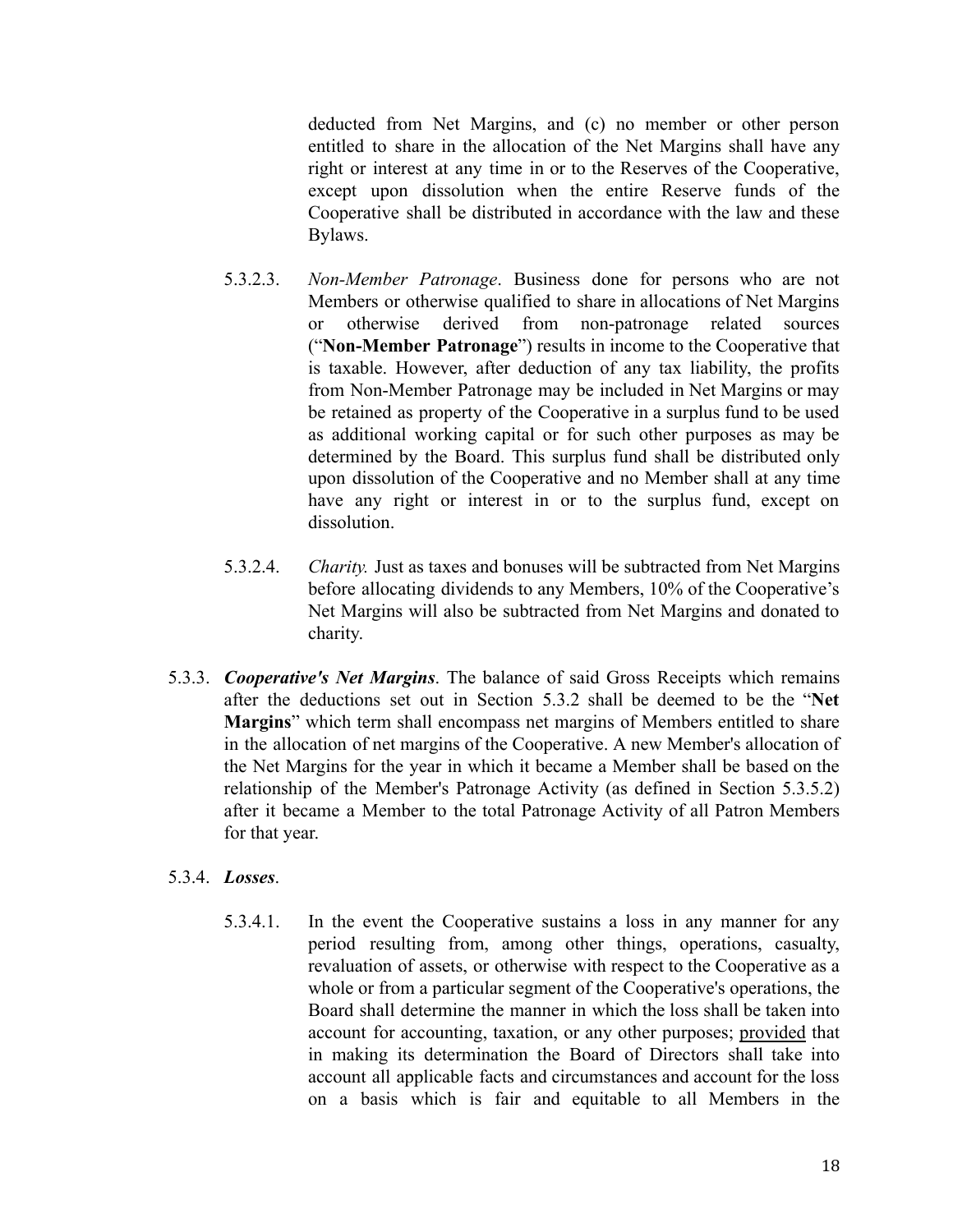deducted from Net Margins, and (c) no member or other person entitled to share in the allocation of the Net Margins shall have any right or interest at any time in or to the Reserves of the Cooperative, except upon dissolution when the entire Reserve funds of the Cooperative shall be distributed in accordance with the law and these Bylaws.

- 5.3.2.3. *Non-Member Patronage*. Business done for persons who are not Members or otherwise qualified to share in allocations of Net Margins or otherwise derived from non-patronage related sources ("**Non-Member Patronage**") results in income to the Cooperative that is taxable. However, after deduction of any tax liability, the profits from Non-Member Patronage may be included in Net Margins or may be retained as property of the Cooperative in a surplus fund to be used as additional working capital or for such other purposes as may be determined by the Board. This surplus fund shall be distributed only upon dissolution of the Cooperative and no Member shall at any time have any right or interest in or to the surplus fund, except on dissolution.
- 5.3.2.4. *Charity.* Just as taxes and bonuses will be subtracted from Net Margins before allocating dividends to any Members, 10% of the Cooperative's Net Margins will also be subtracted from Net Margins and donated to charity.
- 5.3.3. *Cooperative's Net Margins*. The balance of said Gross Receipts which remains after the deductions set out in Section 5.3.2 shall be deemed to be the "**Net Margins**" which term shall encompass net margins of Members entitled to share in the allocation of net margins of the Cooperative. A new Member's allocation of the Net Margins for the year in which it became a Member shall be based on the relationship of the Member's Patronage Activity (as defined in Section 5.3.5.2) after it became a Member to the total Patronage Activity of all Patron Members for that year.

# 5.3.4. *Losses*.

5.3.4.1. In the event the Cooperative sustains a loss in any manner for any period resulting from, among other things, operations, casualty, revaluation of assets, or otherwise with respect to the Cooperative as a whole or from a particular segment of the Cooperative's operations, the Board shall determine the manner in which the loss shall be taken into account for accounting, taxation, or any other purposes; provided that in making its determination the Board of Directors shall take into account all applicable facts and circumstances and account for the loss on a basis which is fair and equitable to all Members in the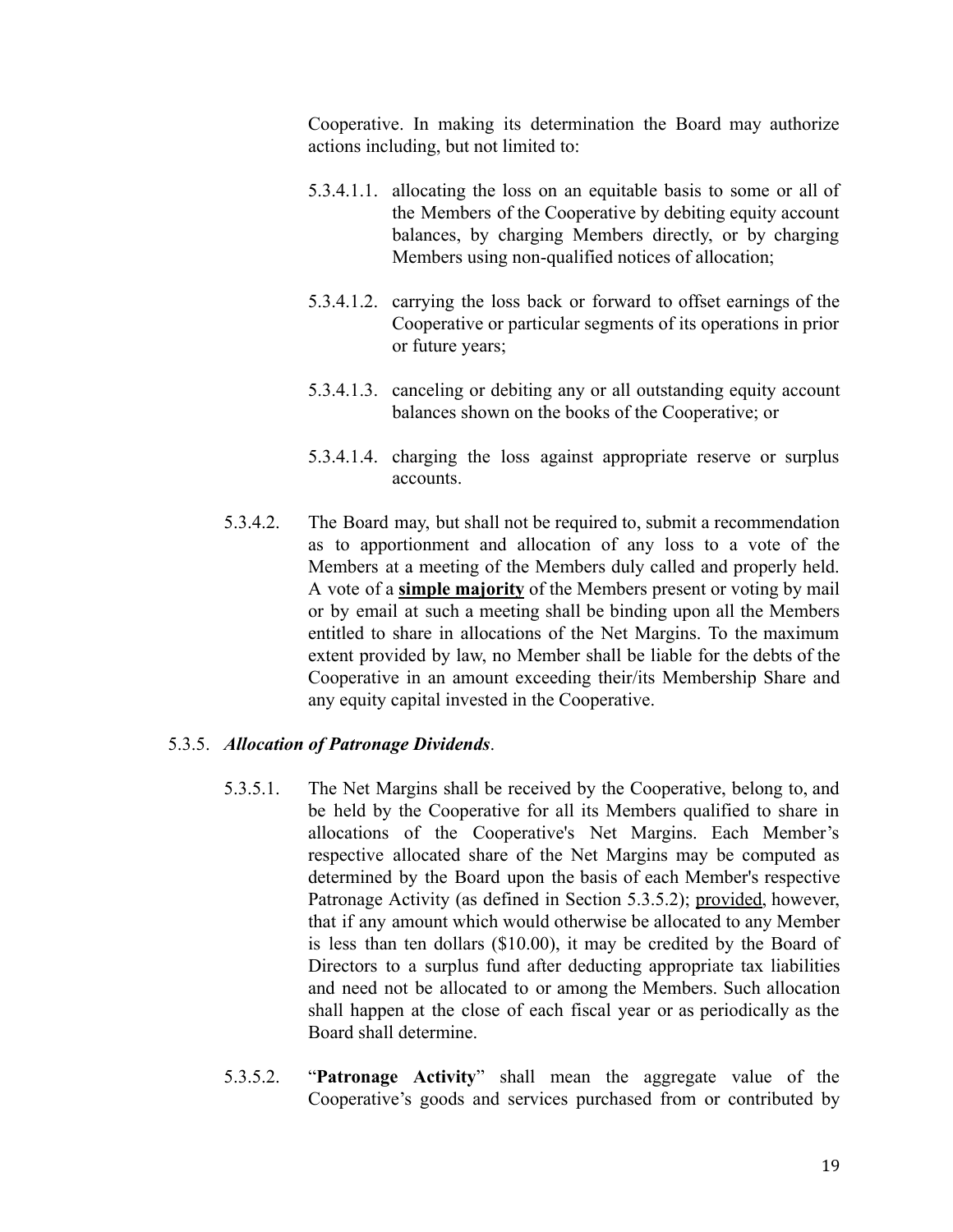Cooperative. In making its determination the Board may authorize actions including, but not limited to:

- 5.3.4.1.1. allocating the loss on an equitable basis to some or all of the Members of the Cooperative by debiting equity account balances, by charging Members directly, or by charging Members using non-qualified notices of allocation;
- 5.3.4.1.2. carrying the loss back or forward to offset earnings of the Cooperative or particular segments of its operations in prior or future years;
- 5.3.4.1.3. canceling or debiting any or all outstanding equity account balances shown on the books of the Cooperative; or
- 5.3.4.1.4. charging the loss against appropriate reserve or surplus accounts.
- 5.3.4.2. The Board may, but shall not be required to, submit a recommendation as to apportionment and allocation of any loss to a vote of the Members at a meeting of the Members duly called and properly held. A vote of a **simple majority** of the Members present or voting by mail or by email at such a meeting shall be binding upon all the Members entitled to share in allocations of the Net Margins. To the maximum extent provided by law, no Member shall be liable for the debts of the Cooperative in an amount exceeding their/its Membership Share and any equity capital invested in the Cooperative.

# 5.3.5. *Allocation of Patronage Dividends*.

- 5.3.5.1. The Net Margins shall be received by the Cooperative, belong to, and be held by the Cooperative for all its Members qualified to share in allocations of the Cooperative's Net Margins. Each Member's respective allocated share of the Net Margins may be computed as determined by the Board upon the basis of each Member's respective Patronage Activity (as defined in Section 5.3.5.2); provided, however, that if any amount which would otherwise be allocated to any Member is less than ten dollars (\$10.00), it may be credited by the Board of Directors to a surplus fund after deducting appropriate tax liabilities and need not be allocated to or among the Members. Such allocation shall happen at the close of each fiscal year or as periodically as the Board shall determine.
- 5.3.5.2. "**Patronage Activity**" shall mean the aggregate value of the Cooperative's goods and services purchased from or contributed by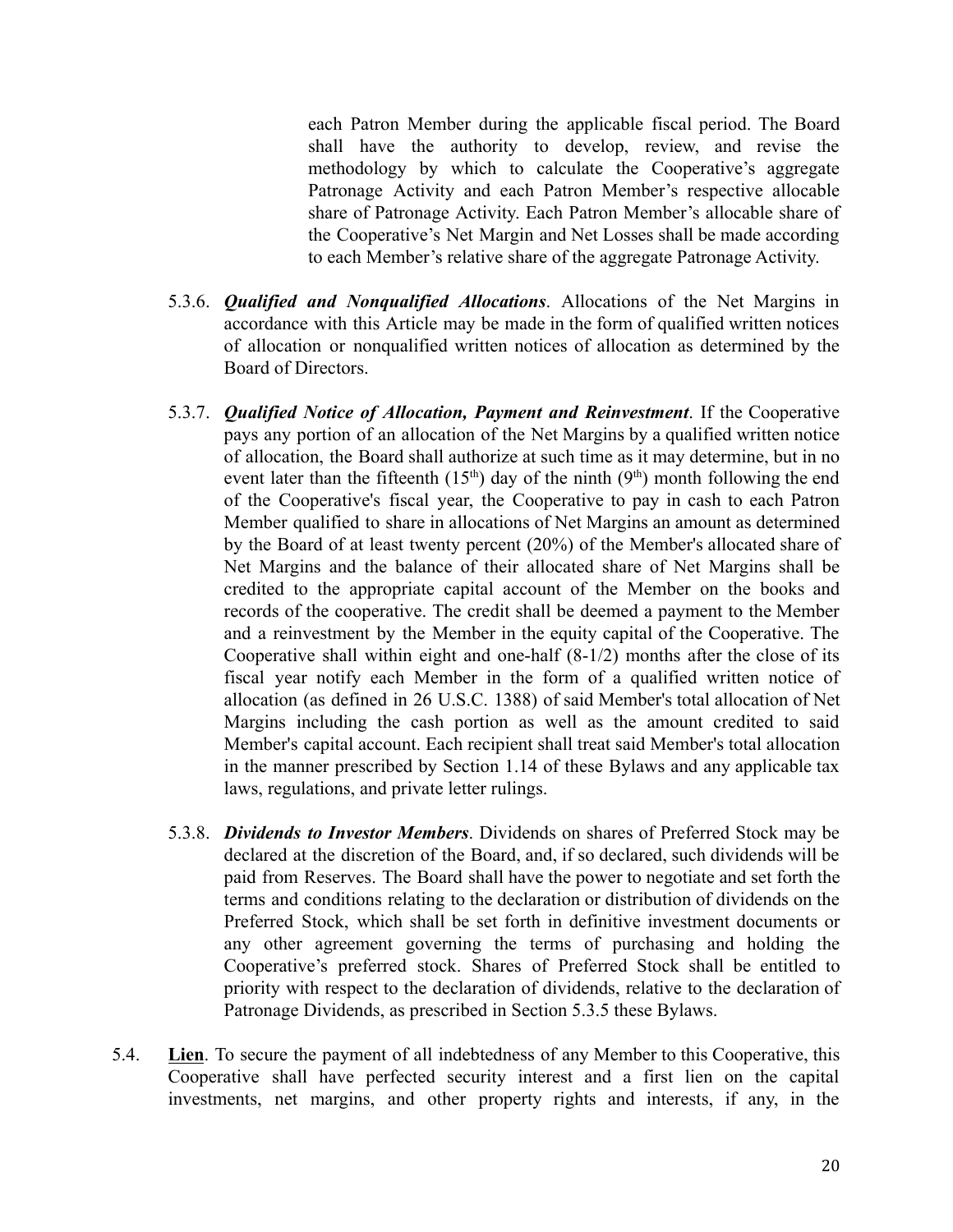each Patron Member during the applicable fiscal period. The Board shall have the authority to develop, review, and revise the methodology by which to calculate the Cooperative's aggregate Patronage Activity and each Patron Member's respective allocable share of Patronage Activity. Each Patron Member's allocable share of the Cooperative's Net Margin and Net Losses shall be made according to each Member's relative share of the aggregate Patronage Activity.

- 5.3.6. *Qualified and Nonqualified Allocations*. Allocations of the Net Margins in accordance with this Article may be made in the form of qualified written notices of allocation or nonqualified written notices of allocation as determined by the Board of Directors.
- 5.3.7. *Qualified Notice of Allocation, Payment and Reinvestment*. If the Cooperative pays any portion of an allocation of the Net Margins by a qualified written notice of allocation, the Board shall authorize at such time as it may determine, but in no event later than the fifteenth  $(15<sup>th</sup>)$  day of the ninth  $(9<sup>th</sup>)$  month following the end of the Cooperative's fiscal year, the Cooperative to pay in cash to each Patron Member qualified to share in allocations of Net Margins an amount as determined by the Board of at least twenty percent (20%) of the Member's allocated share of Net Margins and the balance of their allocated share of Net Margins shall be credited to the appropriate capital account of the Member on the books and records of the cooperative. The credit shall be deemed a payment to the Member and a reinvestment by the Member in the equity capital of the Cooperative. The Cooperative shall within eight and one-half (8-1/2) months after the close of its fiscal year notify each Member in the form of a qualified written notice of allocation (as defined in 26 U.S.C. 1388) of said Member's total allocation of Net Margins including the cash portion as well as the amount credited to said Member's capital account. Each recipient shall treat said Member's total allocation in the manner prescribed by Section 1.14 of these Bylaws and any applicable tax laws, regulations, and private letter rulings.
- 5.3.8. *Dividends to Investor Members*. Dividends on shares of Preferred Stock may be declared at the discretion of the Board, and, if so declared, such dividends will be paid from Reserves. The Board shall have the power to negotiate and set forth the terms and conditions relating to the declaration or distribution of dividends on the Preferred Stock, which shall be set forth in definitive investment documents or any other agreement governing the terms of purchasing and holding the Cooperative's preferred stock. Shares of Preferred Stock shall be entitled to priority with respect to the declaration of dividends, relative to the declaration of Patronage Dividends, as prescribed in Section 5.3.5 these Bylaws.
- 5.4. **Lien**. To secure the payment of all indebtedness of any Member to this Cooperative, this Cooperative shall have perfected security interest and a first lien on the capital investments, net margins, and other property rights and interests, if any, in the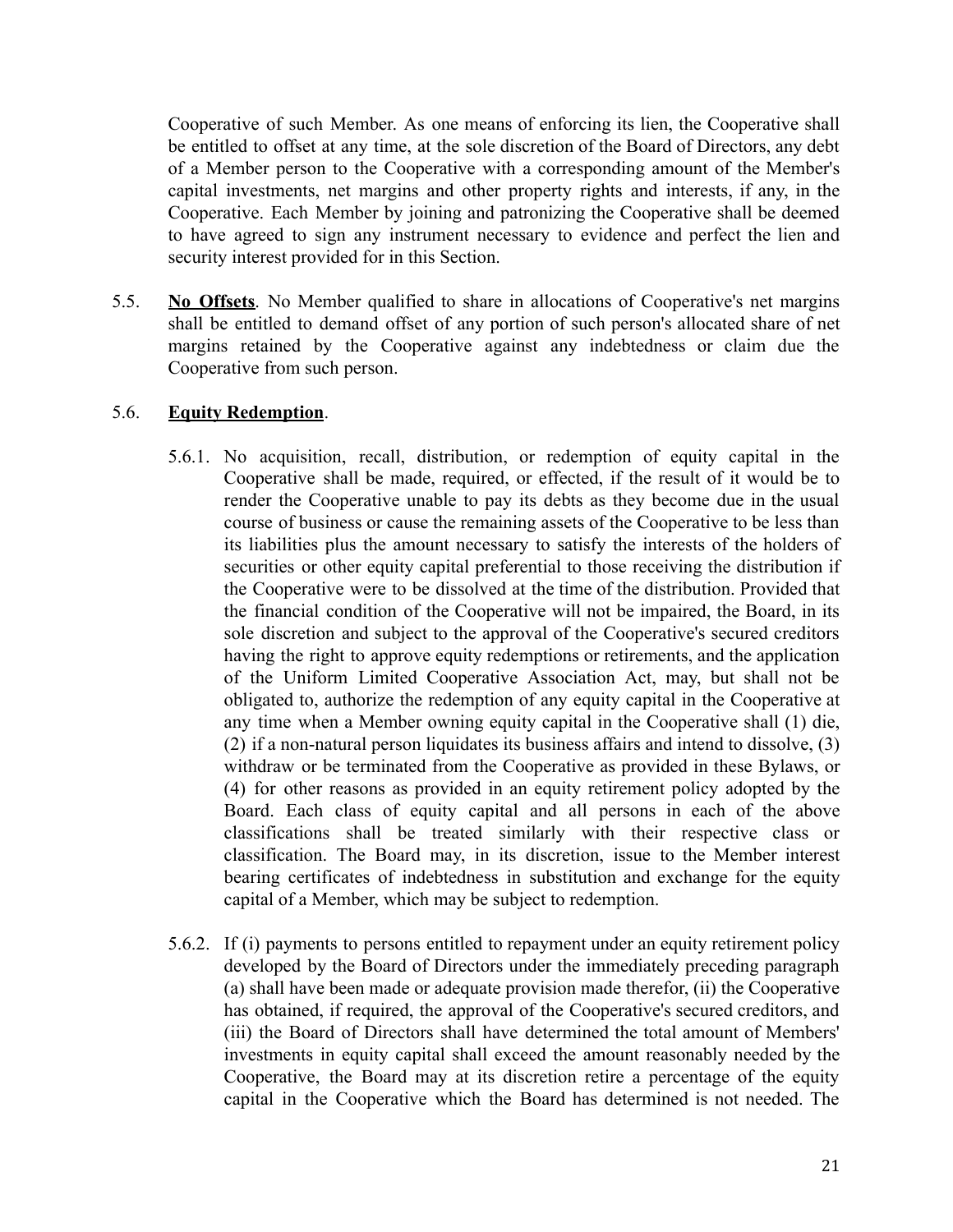Cooperative of such Member. As one means of enforcing its lien, the Cooperative shall be entitled to offset at any time, at the sole discretion of the Board of Directors, any debt of a Member person to the Cooperative with a corresponding amount of the Member's capital investments, net margins and other property rights and interests, if any, in the Cooperative. Each Member by joining and patronizing the Cooperative shall be deemed to have agreed to sign any instrument necessary to evidence and perfect the lien and security interest provided for in this Section.

5.5. **No Offsets**. No Member qualified to share in allocations of Cooperative's net margins shall be entitled to demand offset of any portion of such person's allocated share of net margins retained by the Cooperative against any indebtedness or claim due the Cooperative from such person.

## 5.6. **Equity Redemption**.

- 5.6.1. No acquisition, recall, distribution, or redemption of equity capital in the Cooperative shall be made, required, or effected, if the result of it would be to render the Cooperative unable to pay its debts as they become due in the usual course of business or cause the remaining assets of the Cooperative to be less than its liabilities plus the amount necessary to satisfy the interests of the holders of securities or other equity capital preferential to those receiving the distribution if the Cooperative were to be dissolved at the time of the distribution. Provided that the financial condition of the Cooperative will not be impaired, the Board, in its sole discretion and subject to the approval of the Cooperative's secured creditors having the right to approve equity redemptions or retirements, and the application of the Uniform Limited Cooperative Association Act, may, but shall not be obligated to, authorize the redemption of any equity capital in the Cooperative at any time when a Member owning equity capital in the Cooperative shall (1) die, (2) if a non-natural person liquidates its business affairs and intend to dissolve, (3) withdraw or be terminated from the Cooperative as provided in these Bylaws, or (4) for other reasons as provided in an equity retirement policy adopted by the Board. Each class of equity capital and all persons in each of the above classifications shall be treated similarly with their respective class or classification. The Board may, in its discretion, issue to the Member interest bearing certificates of indebtedness in substitution and exchange for the equity capital of a Member, which may be subject to redemption.
- 5.6.2. If (i) payments to persons entitled to repayment under an equity retirement policy developed by the Board of Directors under the immediately preceding paragraph (a) shall have been made or adequate provision made therefor, (ii) the Cooperative has obtained, if required, the approval of the Cooperative's secured creditors, and (iii) the Board of Directors shall have determined the total amount of Members' investments in equity capital shall exceed the amount reasonably needed by the Cooperative, the Board may at its discretion retire a percentage of the equity capital in the Cooperative which the Board has determined is not needed. The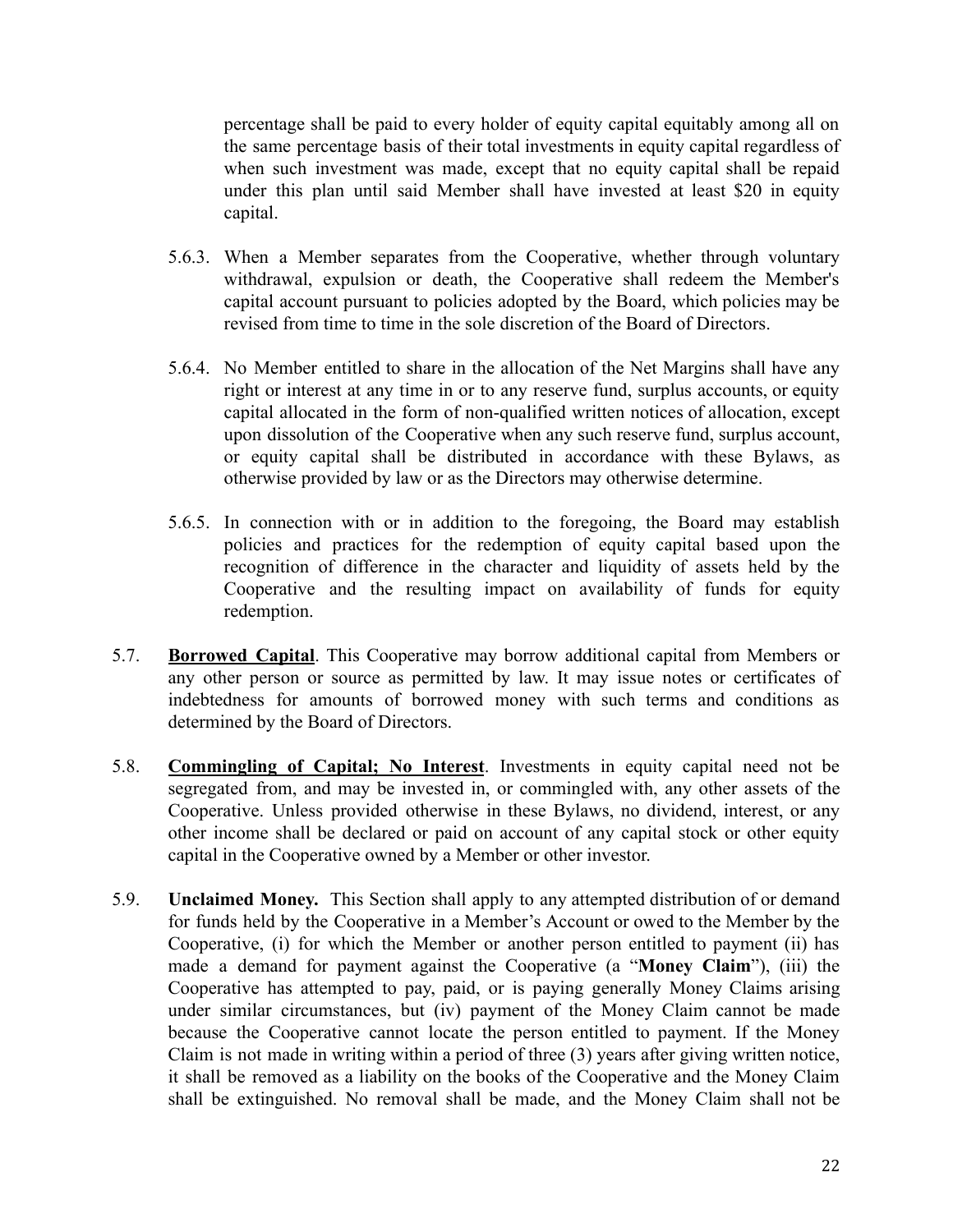percentage shall be paid to every holder of equity capital equitably among all on the same percentage basis of their total investments in equity capital regardless of when such investment was made, except that no equity capital shall be repaid under this plan until said Member shall have invested at least \$20 in equity capital.

- 5.6.3. When a Member separates from the Cooperative, whether through voluntary withdrawal, expulsion or death, the Cooperative shall redeem the Member's capital account pursuant to policies adopted by the Board, which policies may be revised from time to time in the sole discretion of the Board of Directors.
- 5.6.4. No Member entitled to share in the allocation of the Net Margins shall have any right or interest at any time in or to any reserve fund, surplus accounts, or equity capital allocated in the form of non-qualified written notices of allocation, except upon dissolution of the Cooperative when any such reserve fund, surplus account, or equity capital shall be distributed in accordance with these Bylaws, as otherwise provided by law or as the Directors may otherwise determine.
- 5.6.5. In connection with or in addition to the foregoing, the Board may establish policies and practices for the redemption of equity capital based upon the recognition of difference in the character and liquidity of assets held by the Cooperative and the resulting impact on availability of funds for equity redemption.
- 5.7. **Borrowed Capital**. This Cooperative may borrow additional capital from Members or any other person or source as permitted by law. It may issue notes or certificates of indebtedness for amounts of borrowed money with such terms and conditions as determined by the Board of Directors.
- 5.8. **Commingling of Capital; No Interest**. Investments in equity capital need not be segregated from, and may be invested in, or commingled with, any other assets of the Cooperative. Unless provided otherwise in these Bylaws, no dividend, interest, or any other income shall be declared or paid on account of any capital stock or other equity capital in the Cooperative owned by a Member or other investor.
- 5.9. **Unclaimed Money.** This Section shall apply to any attempted distribution of or demand for funds held by the Cooperative in a Member's Account or owed to the Member by the Cooperative, (i) for which the Member or another person entitled to payment (ii) has made a demand for payment against the Cooperative (a "**Money Claim**"), (iii) the Cooperative has attempted to pay, paid, or is paying generally Money Claims arising under similar circumstances, but (iv) payment of the Money Claim cannot be made because the Cooperative cannot locate the person entitled to payment. If the Money Claim is not made in writing within a period of three (3) years after giving written notice, it shall be removed as a liability on the books of the Cooperative and the Money Claim shall be extinguished. No removal shall be made, and the Money Claim shall not be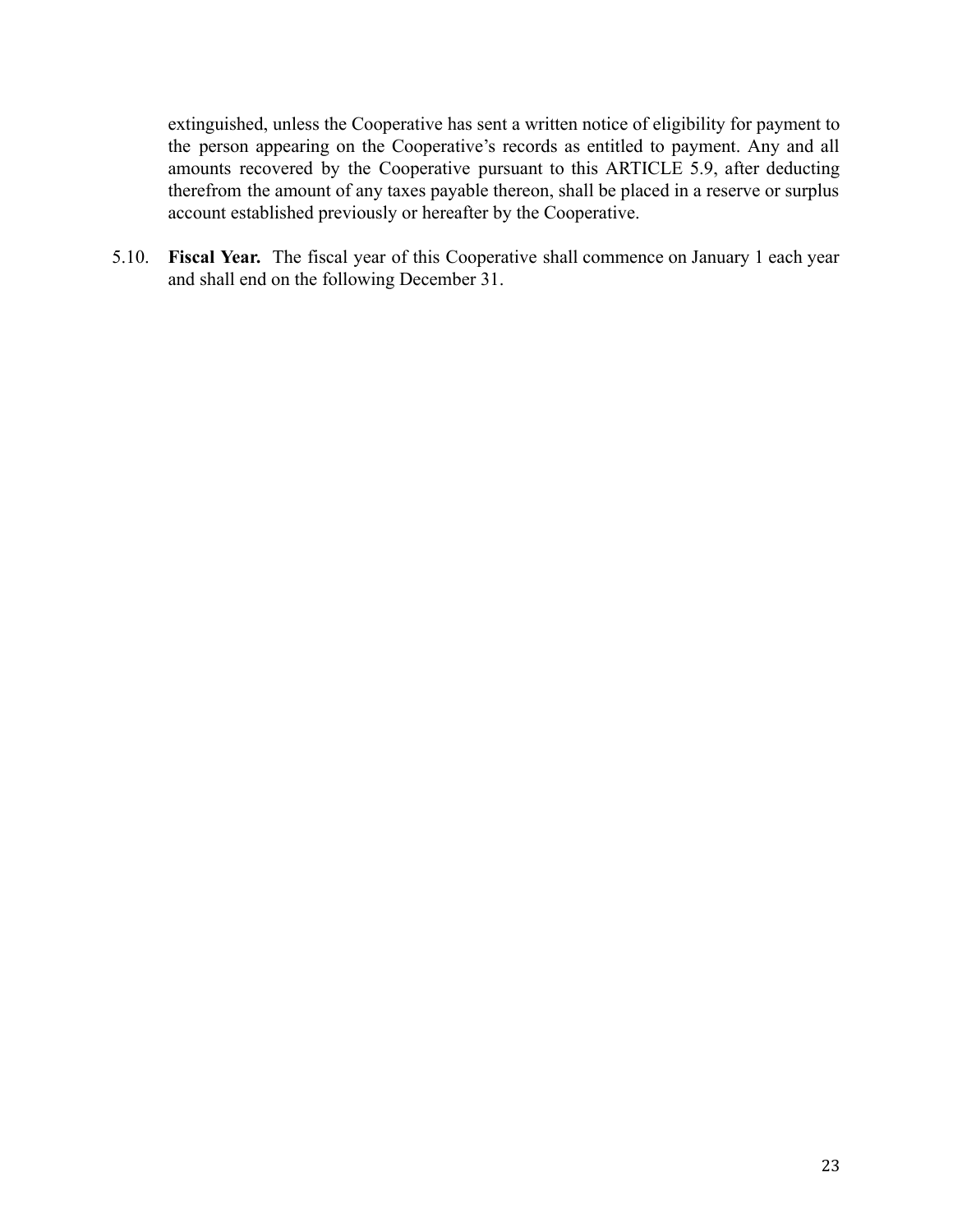extinguished, unless the Cooperative has sent a written notice of eligibility for payment to the person appearing on the Cooperative's records as entitled to payment. Any and all amounts recovered by the Cooperative pursuant to this ARTICLE 5.9, after deducting therefrom the amount of any taxes payable thereon, shall be placed in a reserve or surplus account established previously or hereafter by the Cooperative.

5.10. **Fiscal Year.** The fiscal year of this Cooperative shall commence on January 1 each year and shall end on the following December 31.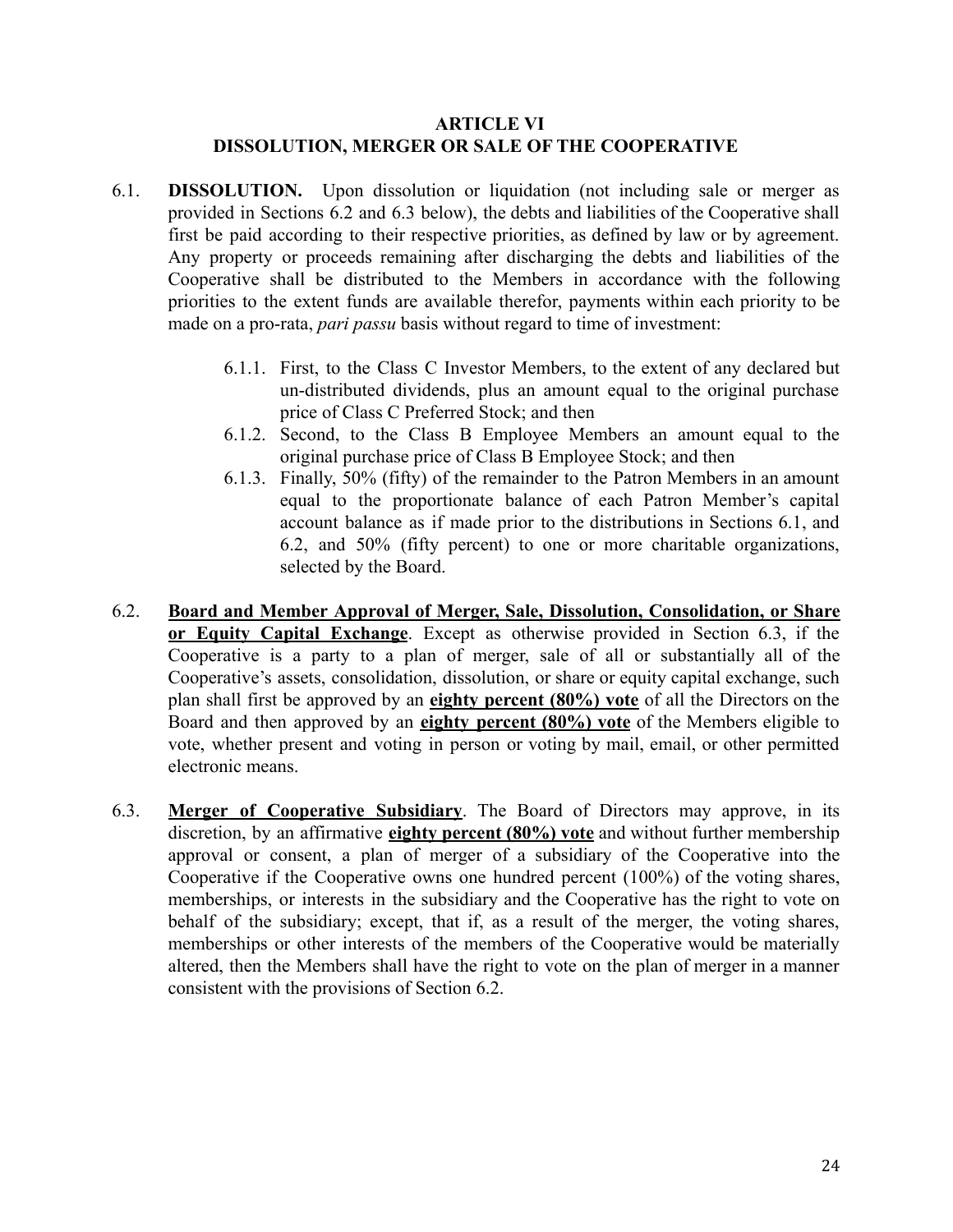## **ARTICLE VI DISSOLUTION, MERGER OR SALE OF THE COOPERATIVE**

- <span id="page-23-0"></span>6.1. **DISSOLUTION.** Upon dissolution or liquidation (not including sale or merger as provided in Sections 6.2 and 6.3 below), the debts and liabilities of the Cooperative shall first be paid according to their respective priorities, as defined by law or by agreement. Any property or proceeds remaining after discharging the debts and liabilities of the Cooperative shall be distributed to the Members in accordance with the following priorities to the extent funds are available therefor, payments within each priority to be made on a pro-rata, *pari passu* basis without regard to time of investment:
	- 6.1.1. First, to the Class C Investor Members, to the extent of any declared but un-distributed dividends, plus an amount equal to the original purchase price of Class C Preferred Stock; and then
	- 6.1.2. Second, to the Class B Employee Members an amount equal to the original purchase price of Class B Employee Stock; and then
	- 6.1.3. Finally, 50% (fifty) of the remainder to the Patron Members in an amount equal to the proportionate balance of each Patron Member's capital account balance as if made prior to the distributions in Sections 6.1, and 6.2, and 50% (fifty percent) to one or more charitable organizations, selected by the Board.
- 6.2. **Board and Member Approval of Merger, Sale, Dissolution, Consolidation, or Share or Equity Capital Exchange**. Except as otherwise provided in Section 6.3, if the Cooperative is a party to a plan of merger, sale of all or substantially all of the Cooperative's assets, consolidation, dissolution, or share or equity capital exchange, such plan shall first be approved by an **eighty percent (80%) vote** of all the Directors on the Board and then approved by an **eighty percent (80%) vote** of the Members eligible to vote, whether present and voting in person or voting by mail, email, or other permitted electronic means.
- 6.3. **Merger of Cooperative Subsidiary**. The Board of Directors may approve, in its discretion, by an affirmative **eighty percent (80%) vote** and without further membership approval or consent, a plan of merger of a subsidiary of the Cooperative into the Cooperative if the Cooperative owns one hundred percent (100%) of the voting shares, memberships, or interests in the subsidiary and the Cooperative has the right to vote on behalf of the subsidiary; except, that if, as a result of the merger, the voting shares, memberships or other interests of the members of the Cooperative would be materially altered, then the Members shall have the right to vote on the plan of merger in a manner consistent with the provisions of Section 6.2.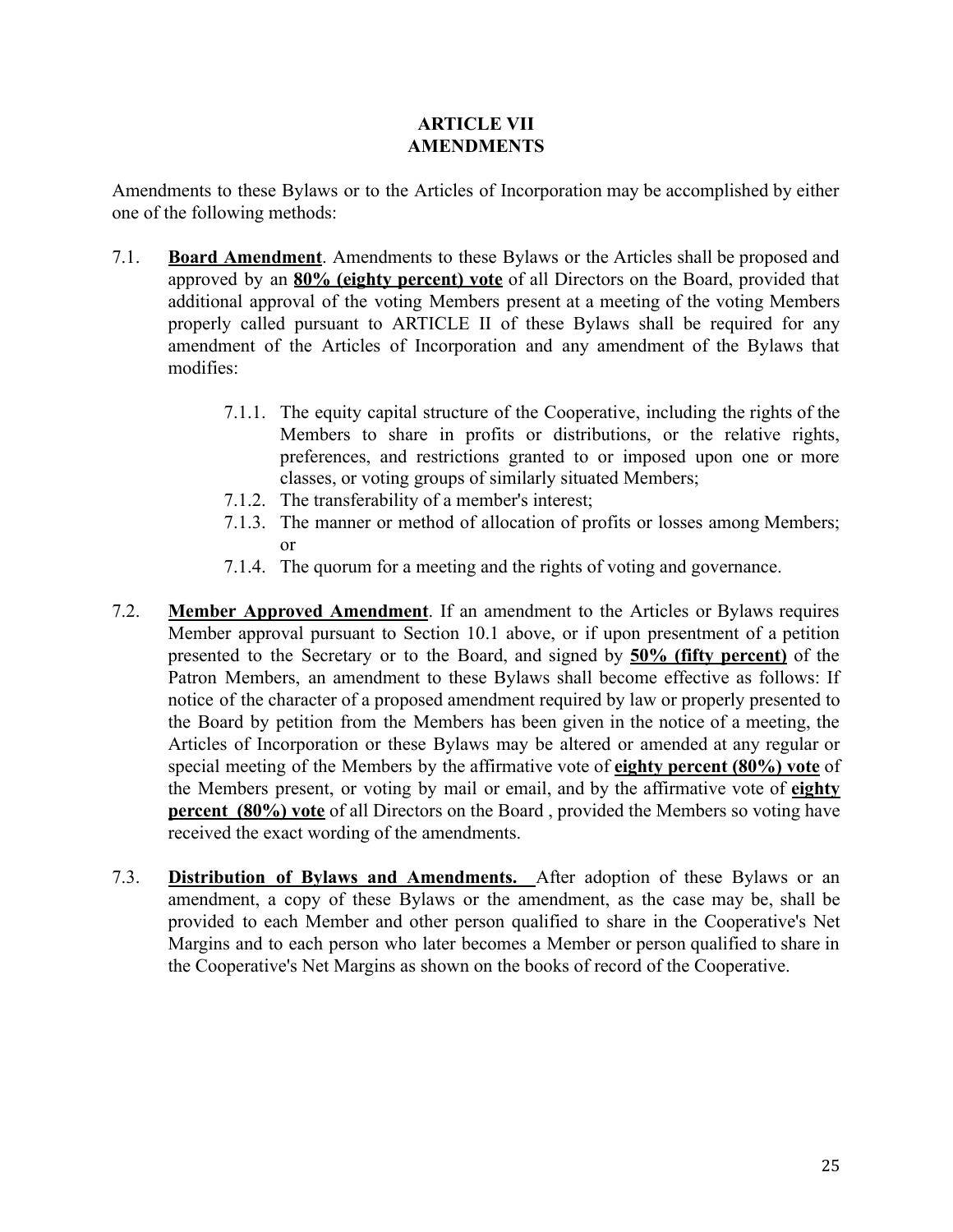# **ARTICLE VII AMENDMENTS**

<span id="page-24-0"></span>Amendments to these Bylaws or to the Articles of Incorporation may be accomplished by either one of the following methods:

- 7.1. **Board Amendment**. Amendments to these Bylaws or the Articles shall be proposed and approved by an **80% (eighty percent) vote** of all Directors on the Board, provided that additional approval of the voting Members present at a meeting of the voting Members properly called pursuant to ARTICLE II of these Bylaws shall be required for any amendment of the Articles of Incorporation and any amendment of the Bylaws that modifies:
	- 7.1.1. The equity capital structure of the Cooperative, including the rights of the Members to share in profits or distributions, or the relative rights, preferences, and restrictions granted to or imposed upon one or more classes, or voting groups of similarly situated Members;
	- 7.1.2. The transferability of a member's interest;
	- 7.1.3. The manner or method of allocation of profits or losses among Members; or
	- 7.1.4. The quorum for a meeting and the rights of voting and governance.
- 7.2. **Member Approved Amendment**. If an amendment to the Articles or Bylaws requires Member approval pursuant to Section 10.1 above, or if upon presentment of a petition presented to the Secretary or to the Board, and signed by **50% (fifty percent)** of the Patron Members, an amendment to these Bylaws shall become effective as follows: If notice of the character of a proposed amendment required by law or properly presented to the Board by petition from the Members has been given in the notice of a meeting, the Articles of Incorporation or these Bylaws may be altered or amended at any regular or special meeting of the Members by the affirmative vote of **eighty percent (80%) vote** of the Members present, or voting by mail or email, and by the affirmative vote of **eighty percent (80%) vote** of all Directors on the Board , provided the Members so voting have received the exact wording of the amendments.
- 7.3. **Distribution of Bylaws and Amendments.** After adoption of these Bylaws or an amendment, a copy of these Bylaws or the amendment, as the case may be, shall be provided to each Member and other person qualified to share in the Cooperative's Net Margins and to each person who later becomes a Member or person qualified to share in the Cooperative's Net Margins as shown on the books of record of the Cooperative.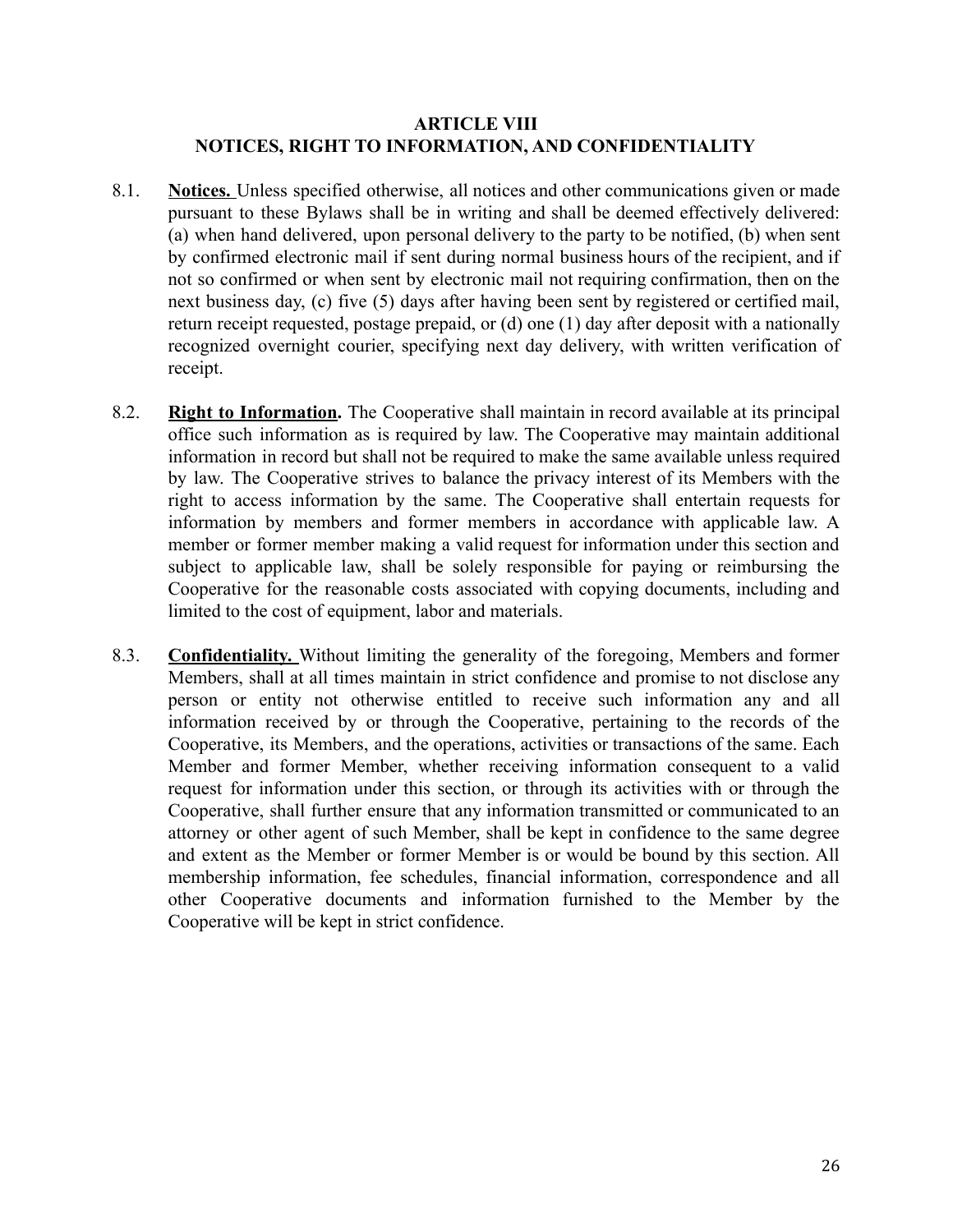## **ARTICLE VIII NOTICES, RIGHT TO INFORMATION, AND CONFIDENTIALITY**

- <span id="page-25-0"></span>8.1. **Notices.** Unless specified otherwise, all notices and other communications given or made pursuant to these Bylaws shall be in writing and shall be deemed effectively delivered: (a) when hand delivered, upon personal delivery to the party to be notified, (b) when sent by confirmed electronic mail if sent during normal business hours of the recipient, and if not so confirmed or when sent by electronic mail not requiring confirmation, then on the next business day, (c) five (5) days after having been sent by registered or certified mail, return receipt requested, postage prepaid, or (d) one (1) day after deposit with a nationally recognized overnight courier, specifying next day delivery, with written verification of receipt.
- 8.2. **Right to Information.** The Cooperative shall maintain in record available at its principal office such information as is required by law. The Cooperative may maintain additional information in record but shall not be required to make the same available unless required by law. The Cooperative strives to balance the privacy interest of its Members with the right to access information by the same. The Cooperative shall entertain requests for information by members and former members in accordance with applicable law. A member or former member making a valid request for information under this section and subject to applicable law, shall be solely responsible for paying or reimbursing the Cooperative for the reasonable costs associated with copying documents, including and limited to the cost of equipment, labor and materials.
- 8.3. **Confidentiality.** Without limiting the generality of the foregoing, Members and former Members, shall at all times maintain in strict confidence and promise to not disclose any person or entity not otherwise entitled to receive such information any and all information received by or through the Cooperative, pertaining to the records of the Cooperative, its Members, and the operations, activities or transactions of the same. Each Member and former Member, whether receiving information consequent to a valid request for information under this section, or through its activities with or through the Cooperative, shall further ensure that any information transmitted or communicated to an attorney or other agent of such Member, shall be kept in confidence to the same degree and extent as the Member or former Member is or would be bound by this section. All membership information, fee schedules, financial information, correspondence and all other Cooperative documents and information furnished to the Member by the Cooperative will be kept in strict confidence.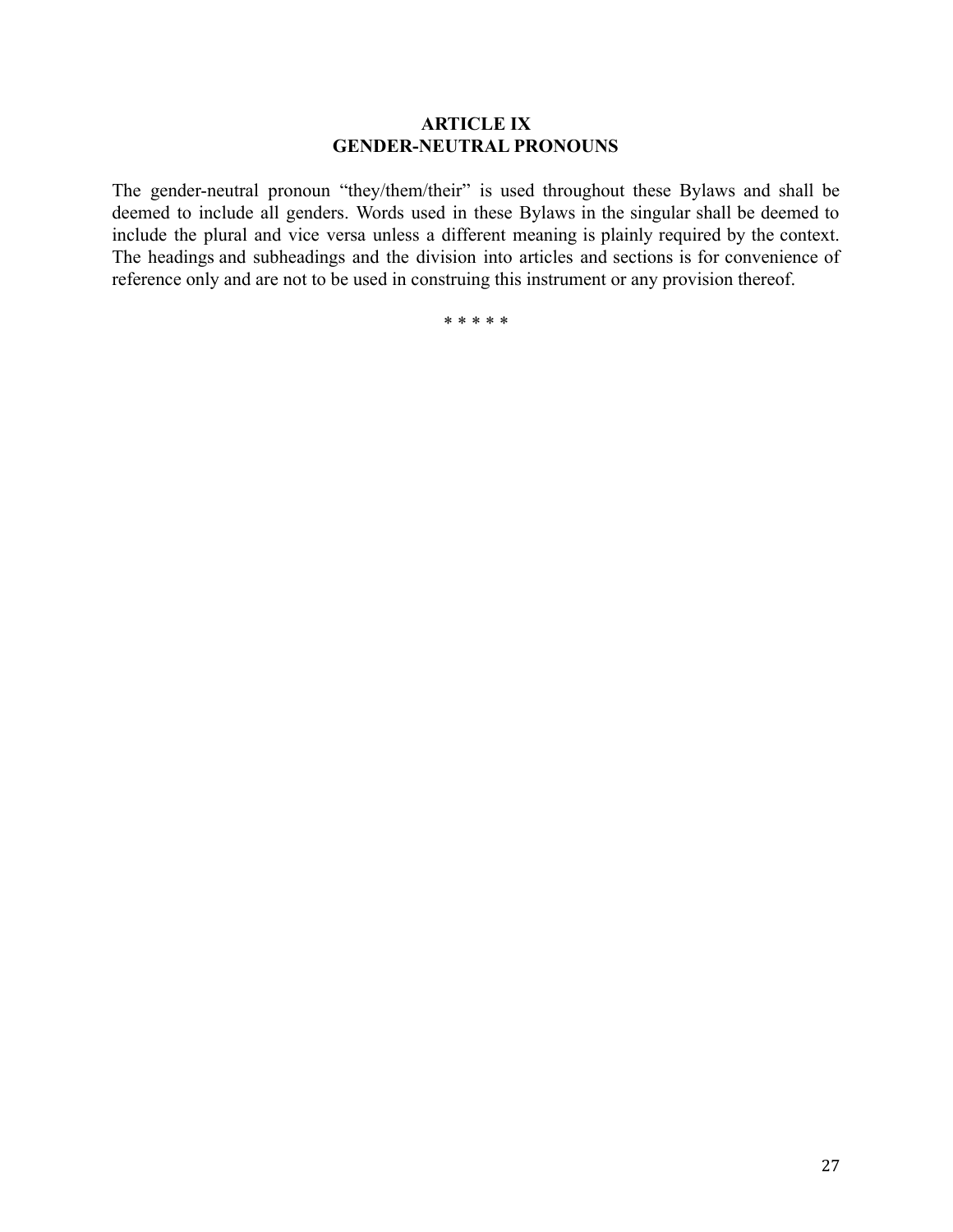## **ARTICLE IX GENDER-NEUTRAL PRONOUNS**

<span id="page-26-0"></span>The gender-neutral pronoun "they/them/their" is used throughout these Bylaws and shall be deemed to include all genders. Words used in these Bylaws in the singular shall be deemed to include the plural and vice versa unless a different meaning is plainly required by the context. The [headings](https://www.lawinsider.com/clause/headings-for-convenience-only) and subheadings and the division into articles and sections is for convenience of reference only and are not to be used in construing this instrument or any provision thereof.

\* \* \* \* \*